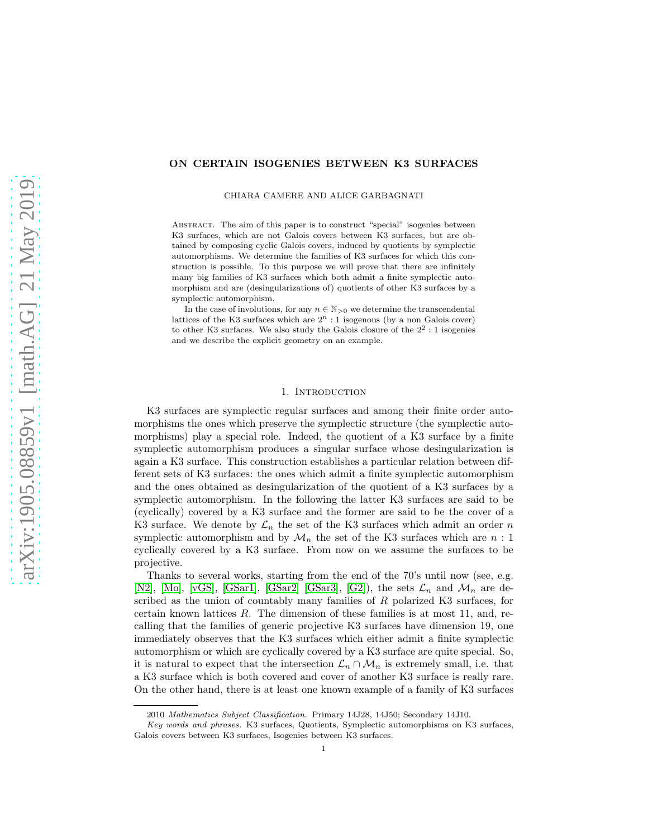# ON CERTAIN ISOGENIES BETWEEN K3 SURFACES

CHIARA CAMERE AND ALICE GARBAGNATI

Abstract. The aim of this paper is to construct "special" isogenies between K3 surfaces, which are not Galois covers between K3 surfaces, but are obtained by composing cyclic Galois covers, induced by quotients by symplectic automorphisms. We determine the families of K3 surfaces for which this construction is possible. To this purpose we will prove that there are infinitely many big families of K3 surfaces which both admit a finite symplectic automorphism and are (desingularizations of) quotients of other K3 surfaces by a symplectic automorphism.

In the case of involutions, for any  $n \in \mathbb{N}_{>0}$  we determine the transcendental lattices of the K3 surfaces which are  $2<sup>n</sup>$ : 1 isogenous (by a non Galois cover) to other K3 surfaces. We also study the Galois closure of the  $2^2:1$  isogenies and we describe the explicit geometry on an example.

# 1. INTRODUCTION

K3 surfaces are symplectic regular surfaces and among their finite order automorphisms the ones which preserve the symplectic structure (the symplectic automorphisms) play a special role. Indeed, the quotient of a K3 surface by a finite symplectic automorphism produces a singular surface whose desingularization is again a K3 surface. This construction establishes a particular relation between different sets of K3 surfaces: the ones which admit a finite symplectic automorphism and the ones obtained as desingularization of the quotient of a K3 surfaces by a symplectic automorphism. In the following the latter K3 surfaces are said to be (cyclically) covered by a K3 surface and the former are said to be the cover of a K3 surface. We denote by  $\mathcal{L}_n$  the set of the K3 surfaces which admit an order n symplectic automorphism and by  $\mathcal{M}_n$  the set of the K3 surfaces which are n: 1 cyclically covered by a K3 surface. From now on we assume the surfaces to be projective.

Thanks to several works, starting from the end of the 70's until now (see, e.g. [\[N2\]](#page-27-0), [\[Mo\]](#page-27-1), [\[vGS\]](#page-27-2), [\[GSar1\]](#page-27-3), [\[GSar2\]](#page-27-4) [\[GSar3\]](#page-27-5), [\[G2\]](#page-26-0)), the sets  $\mathcal{L}_n$  and  $\mathcal{M}_n$  are described as the union of countably many families of R polarized K3 surfaces, for certain known lattices  $R$ . The dimension of these families is at most 11, and, recalling that the families of generic projective K3 surfaces have dimension 19, one immediately observes that the K3 surfaces which either admit a finite symplectic automorphism or which are cyclically covered by a K3 surface are quite special. So, it is natural to expect that the intersection  $\mathcal{L}_n \cap \mathcal{M}_n$  is extremely small, i.e. that a K3 surface which is both covered and cover of another K3 surface is really rare. On the other hand, there is at least one known example of a family of K3 surfaces

<sup>2010</sup> Mathematics Subject Classification. Primary 14J28, 14J50; Secondary 14J10.

Key words and phrases. K3 surfaces, Quotients, Symplectic automorphisms on K3 surfaces, Galois covers between K3 surfaces, Isogenies between K3 surfaces.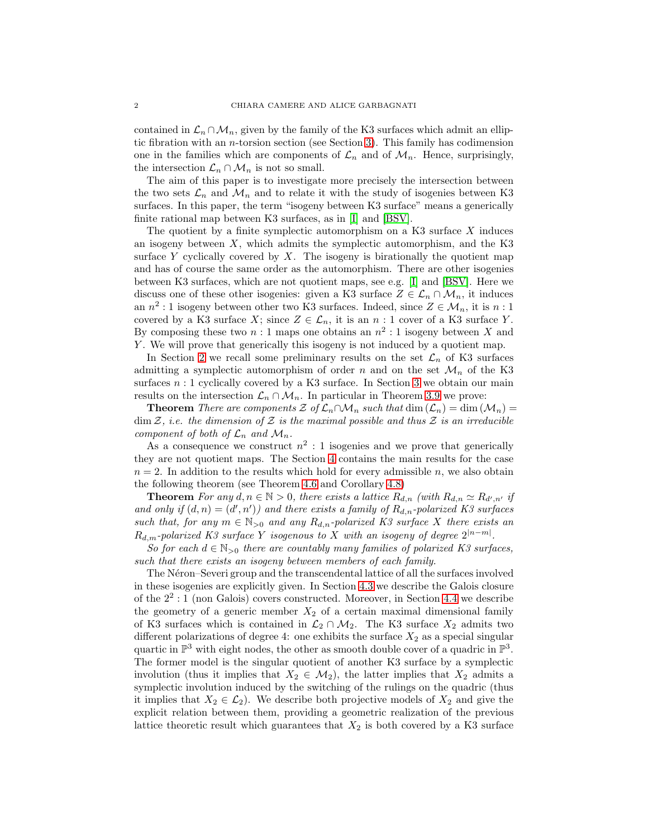contained in  $\mathcal{L}_n \cap \mathcal{M}_n$ , given by the family of the K3 surfaces which admit an elliptic fibration with an *n*-torsion section (see Section [3\)](#page-6-0). This family has codimension one in the families which are components of  $\mathcal{L}_n$  and of  $\mathcal{M}_n$ . Hence, surprisingly, the intersection  $\mathcal{L}_n \cap \mathcal{M}_n$  is not so small.

The aim of this paper is to investigate more precisely the intersection between the two sets  $\mathcal{L}_n$  and  $\mathcal{M}_n$  and to relate it with the study of isogenies between K3 surfaces. In this paper, the term "isogeny between K3 surface" means a generically finite rational map between K3 surfaces, as in [\[I\]](#page-27-6) and [\[BSV\]](#page-26-1).

The quotient by a finite symplectic automorphism on a K3 surface  $X$  induces an isogeny between  $X$ , which admits the symplectic automorphism, and the K3 surface Y cyclically covered by  $X$ . The isogeny is birationally the quotient map and has of course the same order as the automorphism. There are other isogenies between K3 surfaces, which are not quotient maps, see e.g. [\[I\]](#page-27-6) and [\[BSV\]](#page-26-1). Here we discuss one of these other isogenies: given a K3 surface  $Z \in \mathcal{L}_n \cap \mathcal{M}_n$ , it induces an  $n^2:1$  isogeny between other two K3 surfaces. Indeed, since  $Z \in \mathcal{M}_n$ , it is  $n:1$ covered by a K3 surface X; since  $Z \in \mathcal{L}_n$ , it is an n : 1 cover of a K3 surface Y. By composing these two  $n:1$  maps one obtains an  $n^2:1$  isogeny between X and Y. We will prove that generically this isogeny is not induced by a quotient map.

In Section [2](#page-2-0) we recall some preliminary results on the set  $\mathcal{L}_n$  of K3 surfaces admitting a symplectic automorphism of order n and on the set  $\mathcal{M}_n$  of the K3 surfaces  $n:1$  cyclically covered by a K3 surface. In Section [3](#page-6-0) we obtain our main results on the intersection  $\mathcal{L}_n \cap \mathcal{M}_n$ . In particular in Theorem [3.9](#page-9-0) we prove:

**Theorem** *There are components*  $\mathcal Z$  *of*  $\mathcal L_n \cap \mathcal M_n$  *such that*  $\dim(\mathcal L_n) = \dim(\mathcal M_n) =$  $\dim \mathcal{Z}$ , *i.e.* the dimension of  $\mathcal{Z}$  is the maximal possible and thus  $\mathcal{Z}$  is an irreducible *component of both of*  $\mathcal{L}_n$  *and*  $\mathcal{M}_n$ *.* 

As a consequence we construct  $n^2:1$  isogenies and we prove that generically they are not quotient maps. The Section [4](#page-11-0) contains the main results for the case  $n = 2$ . In addition to the results which hold for every admissible n, we also obtain the following theorem (see Theorem [4.6](#page-12-0) and Corollary [4.8\)](#page-13-0)

**Theorem** For any  $d, n \in \mathbb{N} > 0$ , there exists a lattice  $R_{d,n}$  (with  $R_{d,n} \simeq R_{d',n'}$  if and only if  $(d, n) = (d', n')$  and there exists a family of  $R_{d,n}$ -polarized K3 surfaces *such that, for any*  $m \in \mathbb{N}_{>0}$  *and any*  $R_{d,n}$ -polarized K3 surface X there exists an  $R_{d,m}$ -polarized K3 surface Y isogenous to X with an isogeny of degree  $2^{|n-m|}$ .

*So for each*  $d \in \mathbb{N}_{>0}$  *there are countably many families of polarized K3 surfaces, such that there exists an isogeny between members of each family.*

The Néron–Severi group and the transcendental lattice of all the surfaces involved in these isogenies are explicitly given. In Section [4.3](#page-14-0) we describe the Galois closure of the 2<sup>2</sup> : 1 (non Galois) covers constructed. Moreover, in Section [4.4](#page-17-0) we describe the geometry of a generic member  $X_2$  of a certain maximal dimensional family of K3 surfaces which is contained in  $\mathcal{L}_2 \cap \mathcal{M}_2$ . The K3 surface  $X_2$  admits two different polarizations of degree 4: one exhibits the surface  $X_2$  as a special singular quartic in  $\mathbb{P}^3$  with eight nodes, the other as smooth double cover of a quadric in  $\mathbb{P}^3$ . The former model is the singular quotient of another K3 surface by a symplectic involution (thus it implies that  $X_2 \in \mathcal{M}_2$ ), the latter implies that  $X_2$  admits a symplectic involution induced by the switching of the rulings on the quadric (thus it implies that  $X_2 \in \mathcal{L}_2$ . We describe both projective models of  $X_2$  and give the explicit relation between them, providing a geometric realization of the previous lattice theoretic result which guarantees that  $X_2$  is both covered by a K3 surface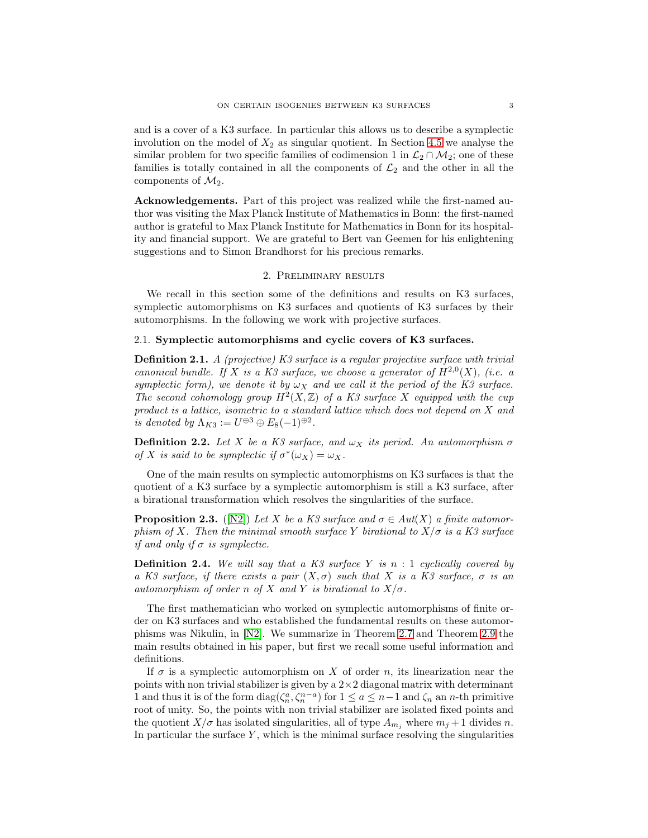and is a cover of a K3 surface. In particular this allows us to describe a symplectic involution on the model of  $X_2$  as singular quotient. In Section [4.5](#page-23-0) we analyse the similar problem for two specific families of codimension 1 in  $\mathcal{L}_2 \cap \mathcal{M}_2$ ; one of these families is totally contained in all the components of  $\mathcal{L}_2$  and the other in all the components of  $\mathcal{M}_2$ .

Acknowledgements. Part of this project was realized while the first-named author was visiting the Max Planck Institute of Mathematics in Bonn: the first-named author is grateful to Max Planck Institute for Mathematics in Bonn for its hospitality and financial support. We are grateful to Bert van Geemen for his enlightening suggestions and to Simon Brandhorst for his precious remarks.

### 2. Preliminary results

<span id="page-2-0"></span>We recall in this section some of the definitions and results on K3 surfaces, symplectic automorphisms on K3 surfaces and quotients of K3 surfaces by their automorphisms. In the following we work with projective surfaces.

## 2.1. Symplectic automorphisms and cyclic covers of K3 surfaces.

Definition 2.1. *A (projective) K3 surface is a regular projective surface with trivial canonical bundle. If* X *is a K3 surface, we choose a generator of*  $H^{2,0}(X)$ *, (i.e. a symplectic form), we denote it by*  $\omega_X$  *and we call it the period of the K3 surface.* The second cohomology group  $H^2(X,\mathbb{Z})$  of a K3 surface X equipped with the cup *product is a lattice, isometric to a standard lattice which does not depend on* X *and is denoted by*  $\Lambda_{K3} := U^{\oplus 3} \oplus E_8(-1)^{\oplus 2}$ *.* 

**Definition 2.2.** *Let* X *be a K3 surface, and*  $\omega_X$  *its period. An automorphism*  $\sigma$ *of* X is said to be symplectic if  $\sigma^*(\omega_X) = \omega_X$ .

One of the main results on symplectic automorphisms on K3 surfaces is that the quotient of a K3 surface by a symplectic automorphism is still a K3 surface, after a birational transformation which resolves the singularities of the surface.

**Proposition 2.3.** ([\[N2\]](#page-27-0)) *Let* X *be a K3 surface and*  $\sigma \in Aut(X)$  *a finite automorphism of* X. Then the minimal smooth surface Y birational to  $X/\sigma$  is a K3 surface *if and only if*  $\sigma$  *is symplectic.* 

Definition 2.4. *We will say that a K3 surface* Y *is* n : 1 *cyclically covered by a* K3 surface, if there exists a pair  $(X, \sigma)$  such that X is a K3 surface,  $\sigma$  is an *automorphism of order* n *of* X and Y *is birational to*  $X/\sigma$ .

The first mathematician who worked on symplectic automorphisms of finite order on K3 surfaces and who established the fundamental results on these automorphisms was Nikulin, in [\[N2\]](#page-27-0). We summarize in Theorem [2.7](#page-3-0) and Theorem [2.9](#page-3-1) the main results obtained in his paper, but first we recall some useful information and definitions.

If  $\sigma$  is a symplectic automorphism on X of order n, its linearization near the points with non trivial stabilizer is given by a  $2 \times 2$  diagonal matrix with determinant 1 and thus it is of the form  $diag(\zeta_n^a, \zeta_n^{n-a})$  for  $1 \le a \le n-1$  and  $\zeta_n$  an n-th primitive root of unity. So, the points with non trivial stabilizer are isolated fixed points and the quotient  $X/\sigma$  has isolated singularities, all of type  $A_{m_i}$  where  $m_j + 1$  divides n. In particular the surface  $Y$ , which is the minimal surface resolving the singularities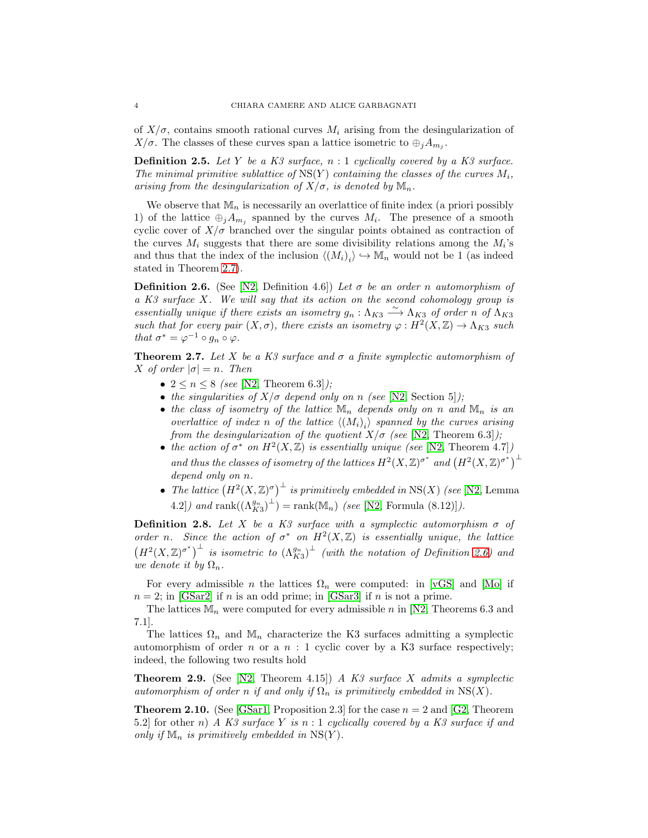of  $X/\sigma$ , contains smooth rational curves  $M_i$  arising from the desingularization of  $X/\sigma$ . The classes of these curves span a lattice isometric to  $\oplus_j A_{m_j}$ .

Definition 2.5. *Let* Y *be a K3 surface,* n : 1 *cyclically covered by a K3 surface. The minimal primitive sublattice of*  $NS(Y)$  *containing the classes of the curves*  $M_i$ , *arising from the desingularization of*  $X/\sigma$ *, is denoted by*  $\mathbb{M}_n$ *.* 

We observe that  $\mathbb{M}_n$  is necessarily an overlattice of finite index (a priori possibly 1) of the lattice  $\oplus_j A_{m_j}$  spanned by the curves  $M_i$ . The presence of a smooth cyclic cover of  $X/\sigma$  branched over the singular points obtained as contraction of the curves  $M_i$  suggests that there are some divisibility relations among the  $M_i$ 's and thus that the index of the inclusion  $\langle (M_i)_i \rangle \hookrightarrow M_n$  would not be 1 (as indeed stated in Theorem [2.7\)](#page-3-0).

<span id="page-3-2"></span>Definition 2.6. (See [\[N2,](#page-27-0) Definition 4.6]) *Let* σ *be an order* n *automorphism of a K3 surface* X*. We will say that its action on the second cohomology group is essentially unique if there exists an isometry*  $g_n : \Lambda_{K3} \longrightarrow \Lambda_{K3}$  *of order n of*  $\Lambda_{K3}$ *such that for every pair*  $(X, \sigma)$ *, there exists an isometry*  $\varphi : H^2(X, \mathbb{Z}) \to \Lambda_{K3}$  *such that*  $\sigma^* = \varphi^{-1} \circ g_n \circ \varphi$ *.* 

<span id="page-3-0"></span>**Theorem 2.7.** Let X be a K3 surface and  $\sigma$  a finite symplectic automorphism of X *of order*  $|\sigma| = n$ . Then

- $2 \leq n \leq 8$  *(see* [\[N2,](#page-27-0) Theorem 6.3]*)*;
- *the singularities of*  $X/\sigma$  *depend only on* n *(see* [\[N2,](#page-27-0) Section 5]*)*;
- the class of isometry of the lattice  $\mathbb{M}_n$  depends only on n and  $\mathbb{M}_n$  is an *overlattice of index n of the lattice*  $\langle (M_i)_i \rangle$  *spanned by the curves arising from the desingularization of the quotient*  $X/\sigma$  *(see* [\[N2,](#page-27-0) Theorem 6.3]*)*;
- the action of  $\sigma^*$  on  $H^2(X,\mathbb{Z})$  is essentially unique (see [\[N2,](#page-27-0) Theorem 4.7]*)* and thus the classes of isometry of the lattices  $H^2(X,\mathbb{Z})^{\sigma^*}$  and  $(H^2(X,\mathbb{Z})^{\sigma^*})^{\perp}$ *depend only on* n*.*
- *The lattice*  $(H^2(X,\mathbb{Z})^{\sigma})^{\perp}$  *is primitively embedded in* NS(X) *(see* [\[N2,](#page-27-0) Lemma  $(4.2)$  *and* rank $((\Lambda_{K3}^{g_n})^{\perp})$  = rank $(\mathbb{M}_n)$  *(see* [\[N2,](#page-27-0) Formula  $(8.12)$ ]*)*.

**Definition 2.8.** *Let* X *be a K3 surface with a symplectic automorphism*  $\sigma$  *of order n.* Since the action of  $\sigma^*$  on  $H^2(X, \mathbb{Z})$  is essentially unique, the lattice  $(H^2(X,\mathbb{Z})^{\sigma^*})^{\perp}$  is isometric to  $(\Lambda_{K3}^{g_n})^{\perp}$  (with the notation of Definition [2.6\)](#page-3-2) and *we denote it by*  $\Omega_n$ *.* 

For every admissible *n* the lattices  $\Omega_n$  were computed: in [\[vGS\]](#page-27-2) and [\[Mo\]](#page-27-1) if  $n = 2$ ; in [\[GSar2\]](#page-27-4) if n is an odd prime; in [\[GSar3\]](#page-27-5) if n is not a prime.

The lattices  $\mathbb{M}_n$  were computed for every admissible n in [\[N2,](#page-27-0) Theorems 6.3 and 7.1].

The lattices  $\Omega_n$  and  $\mathbb{M}_n$  characterize the K3 surfaces admitting a symplectic automorphism of order n or a  $n : 1$  cyclic cover by a K3 surface respectively; indeed, the following two results hold

<span id="page-3-1"></span>Theorem 2.9. (See [\[N2,](#page-27-0) Theorem 4.15]) *A K3 surface* X *admits a symplectic automorphism of order* n *if and only if*  $\Omega_n$  *is primitively embedded in* NS(X).

<span id="page-3-3"></span>**Theorem 2.10.** (See [\[GSar1,](#page-27-3) Proposition 2.3] for the case  $n = 2$  and [\[G2,](#page-26-0) Theorem 5.2] for other n) *A K3 surface* Y *is* n : 1 *cyclically covered by a K3 surface if and only if*  $\mathbb{M}_n$  *is primitively embedded in*  $NS(Y)$ *.*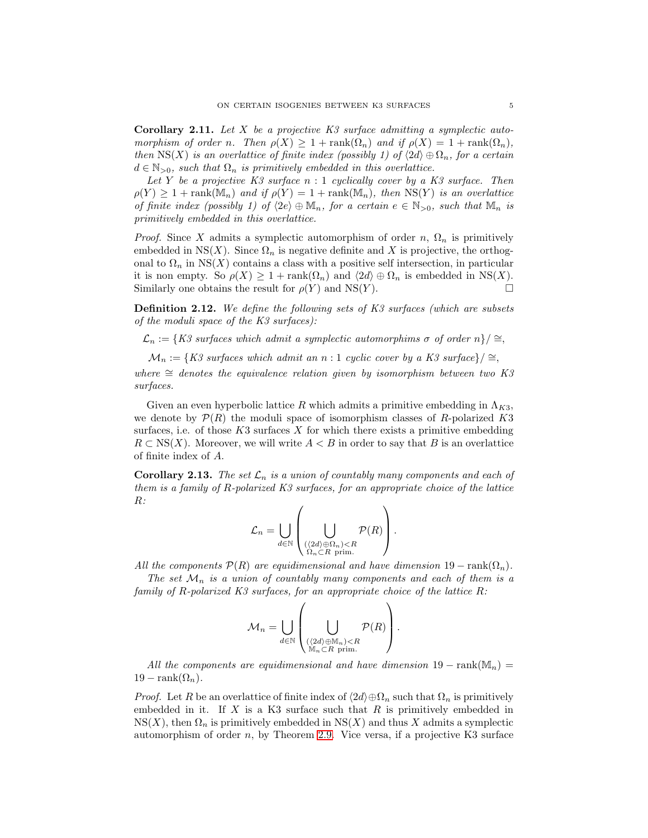<span id="page-4-0"></span>Corollary 2.11. *Let* X *be a projective K3 surface admitting a symplectic automorphism of order n. Then*  $\rho(X) \geq 1 + \text{rank}(\Omega_n)$  *and if*  $\rho(X) = 1 + \text{rank}(\Omega_n)$ , *then*  $\text{NS}(X)$  *is an overlattice of finite index (possibly 1) of*  $\langle 2d \rangle \oplus \Omega_n$ *, for a certain*  $d \in \mathbb{N}_{>0}$ , such that  $\Omega_n$  is primitively embedded in this overlattice.

*Let* Y *be a projective K3 surface* n : 1 *cyclically cover by a K3 surface. Then*  $\rho(Y) \geq 1 + \text{rank}(\mathbb{M}_n)$  and if  $\rho(Y) = 1 + \text{rank}(\mathbb{M}_n)$ , then  $\text{NS}(Y)$  is an overlattice *of finite index (possibly 1) of*  $\langle 2e \rangle \oplus \mathbb{M}_n$ *, for a certain*  $e \in \mathbb{N}_{>0}$ *, such that*  $\mathbb{M}_n$  *is primitively embedded in this overlattice.*

*Proof.* Since X admits a symplectic automorphism of order n,  $\Omega_n$  is primitively embedded in NS(X). Since  $\Omega_n$  is negative definite and X is projective, the orthogonal to  $\Omega_n$  in NS(X) contains a class with a positive self intersection, in particular it is non empty. So  $\rho(X) \geq 1 + \text{rank}(\Omega_n)$  and  $\langle 2d \rangle \oplus \Omega_n$  is embedded in NS(X). Similarly one obtains the result for  $\rho(Y)$  and NS(Y).

Definition 2.12. *We define the following sets of K3 surfaces (which are subsets of the moduli space of the K3 surfaces):*

 $\mathcal{L}_n := \{K3 \text{ surfaces which admit a symplectic automorphims } \sigma \text{ of order } n\}/\simeq$ ,

 $\mathcal{M}_n := \{K3 \text{ surfaces which admit an } n:1 \text{ cyclic cover by a } K3 \text{ surface}\}\neq$ 

 $where \cong$  *denotes the equivalence relation given by isomorphism between two K3 surfaces.*

Given an even hyperbolic lattice  $R$  which admits a primitive embedding in  $\Lambda_{K3}$ , we denote by  $\mathcal{P}(R)$  the moduli space of isomorphism classes of R-polarized K3 surfaces, i.e. of those  $K3$  surfaces  $X$  for which there exists a primitive embedding  $R \subset \text{NS}(X)$ . Moreover, we will write  $A \leq B$  in order to say that B is an overlattice of finite index of A.

**Corollary 2.13.** *The set*  $\mathcal{L}_n$  *is a union of countably many components and each of them is a family of* R*-polarized K3 surfaces, for an appropriate choice of the lattice* R*:*

$$
\mathcal{L}_n = \bigcup_{d \in \mathbb{N}} \left( \bigcup_{\substack{(\langle 2d \rangle \oplus \Omega_n) < R \\ \Omega_n \subset R \text{ prim.}}} \mathcal{P}(R) \right).
$$

*All the components*  $\mathcal{P}(R)$  *are equidimensional and have dimension*  $19 - \text{rank}(\Omega_n)$ *.* 

*The set*  $\mathcal{M}_n$  *is a union of countably many components and each of them is a family of* R*-polarized K3 surfaces, for an appropriate choice of the lattice* R*:*

$$
\mathcal{M}_n = \bigcup_{d \in \mathbb{N}} \left( \bigcup_{\substack{(\langle 2d \rangle \oplus \mathbb{M}_n) < R \\ \mathbb{M}_n \subset R \text{ prime.}}} \mathcal{P}(R) \right).
$$

*All the components are equidimensional and have dimension*  $19 - \text{rank}(\mathbb{M}_n) =$  $19 - \text{rank}(\Omega_n)$ .

*Proof.* Let R be an overlattice of finite index of  $\langle 2d \rangle \oplus \Omega_n$  such that  $\Omega_n$  is primitively embedded in it. If  $X$  is a K3 surface such that  $R$  is primitively embedded in  $NS(X)$ , then  $\Omega_n$  is primitively embedded in  $NS(X)$  and thus X admits a symplectic automorphism of order  $n$ , by Theorem [2.9.](#page-3-1) Vice versa, if a projective K3 surface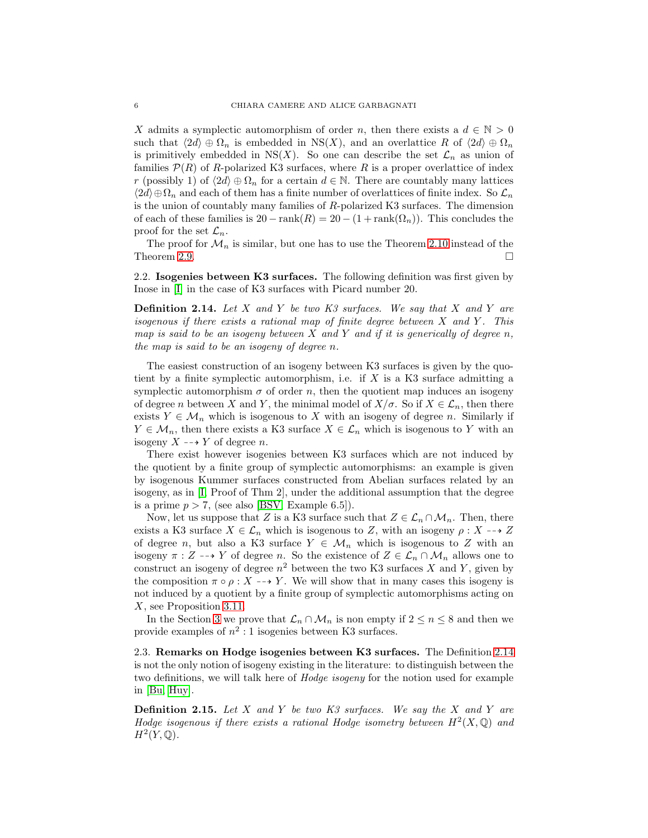X admits a symplectic automorphism of order n, then there exists a  $d \in \mathbb{N} > 0$ such that  $\langle 2d \rangle \oplus \Omega_n$  is embedded in NS(X), and an overlattice R of  $\langle 2d \rangle \oplus \Omega_n$ is primitively embedded in NS(X). So one can describe the set  $\mathcal{L}_n$  as union of families  $P(R)$  of R-polarized K3 surfaces, where R is a proper overlattice of index r (possibly 1) of  $\langle 2d \rangle \oplus \Omega_n$  for a certain  $d \in \mathbb{N}$ . There are countably many lattices  $\langle 2d \rangle \oplus \Omega_n$  and each of them has a finite number of overlattices of finite index. So  $\mathcal{L}_n$ is the union of countably many families of R-polarized K3 surfaces. The dimension of each of these families is  $20 - \text{rank}(R) = 20 - (1 + \text{rank}(\Omega_n))$ . This concludes the proof for the set  $\mathcal{L}_n$ .

The proof for  $\mathcal{M}_n$  is similar, but one has to use the Theorem [2.10](#page-3-3) instead of the Theorem [2.9.](#page-3-1)

2.2. Isogenies between K3 surfaces. The following definition was first given by Inose in [\[I\]](#page-27-6) in the case of K3 surfaces with Picard number 20.

<span id="page-5-0"></span>Definition 2.14. *Let* X *and* Y *be two K3 surfaces. We say that* X *and* Y *are isogenous if there exists a rational map of finite degree between* X and Y. This *map is said to be an isogeny between* X *and* Y *and if it is generically of degree* n*, the map is said to be an isogeny of degree* n*.*

The easiest construction of an isogeny between K3 surfaces is given by the quotient by a finite symplectic automorphism, i.e. if  $X$  is a K3 surface admitting a symplectic automorphism  $\sigma$  of order n, then the quotient map induces an isogeny of degree n between X and Y, the minimal model of  $X/\sigma$ . So if  $X \in \mathcal{L}_n$ , then there exists  $Y \in \mathcal{M}_n$  which is isogenous to X with an isogeny of degree n. Similarly if  $Y \in \mathcal{M}_n$ , then there exists a K3 surface  $X \in \mathcal{L}_n$  which is isogenous to Y with an isogeny  $X \dashrightarrow Y$  of degree n.

There exist however isogenies between K3 surfaces which are not induced by the quotient by a finite group of symplectic automorphisms: an example is given by isogenous Kummer surfaces constructed from Abelian surfaces related by an isogeny, as in [\[I,](#page-27-6) Proof of Thm 2], under the additional assumption that the degree is a prime  $p > 7$ , (see also [\[BSV,](#page-26-1) Example 6.5]).

Now, let us suppose that Z is a K3 surface such that  $Z \in \mathcal{L}_n \cap \mathcal{M}_n$ . Then, there exists a K3 surface  $X \in \mathcal{L}_n$  which is isogenous to Z, with an isogeny  $\rho: X \dashrightarrow Z$ of degree n, but also a K3 surface  $Y \in \mathcal{M}_n$  which is isogenous to Z with an isogeny  $\pi : Z \dashrightarrow Y$  of degree n. So the existence of  $Z \in \mathcal{L}_n \cap \mathcal{M}_n$  allows one to construct an isogeny of degree  $n^2$  between the two K3 surfaces X and Y, given by the composition  $\pi \circ \rho : X \dashrightarrow Y$ . We will show that in many cases this isogeny is not induced by a quotient by a finite group of symplectic automorphisms acting on X, see Proposition [3.11.](#page-10-0)

In the Section [3](#page-6-0) we prove that  $\mathcal{L}_n \cap \mathcal{M}_n$  is non empty if  $2 \leq n \leq 8$  and then we provide examples of  $n^2:1$  isogenies between K3 surfaces.

2.3. Remarks on Hodge isogenies between K3 surfaces. The Definition [2.14](#page-5-0) is not the only notion of isogeny existing in the literature: to distinguish between the two definitions, we will talk here of *Hodge isogeny* for the notion used for example in [\[Bu,](#page-26-2) [Huy\]](#page-27-7).

Definition 2.15. *Let* X *and* Y *be two K3 surfaces. We say the* X *and* Y *are Hodge isogenous if there exists a rational Hodge isometry between*  $H^2(X, \mathbb{Q})$  and  $H^2(Y,\mathbb{Q})$ .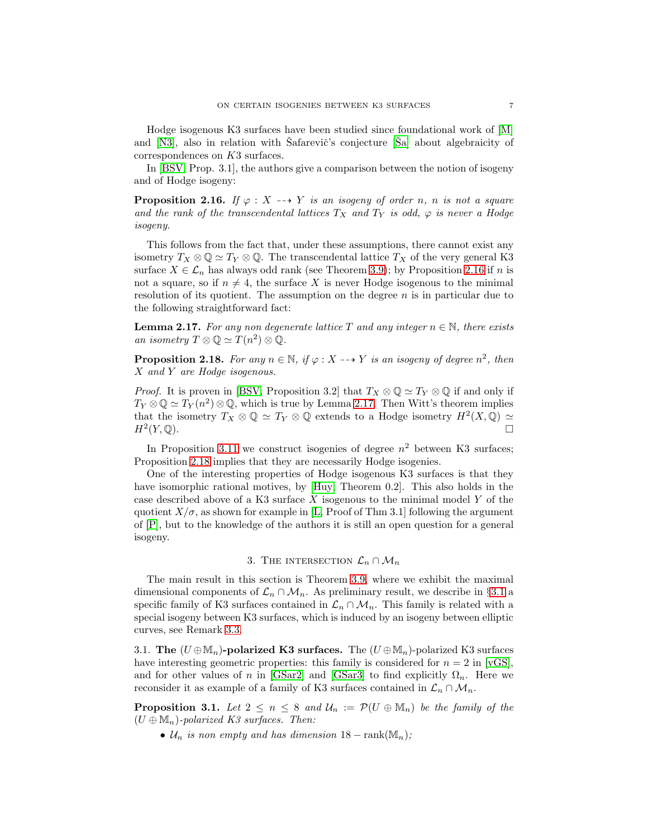Hodge isogenous K3 surfaces have been studied since foundational work of [\[M\]](#page-27-8) and  $[N3]$ , also in relation with Safarevič's conjecture  $[\text{Sal}$  about algebraicity of correspondences on K3 surfaces.

In [\[BSV,](#page-26-1) Prop. 3.1], the authors give a comparison between the notion of isogeny and of Hodge isogeny:

<span id="page-6-1"></span>**Proposition 2.16.** *If*  $\varphi : X \dashrightarrow Y$  *is an isogeny of order n, n is not a square* and the rank of the transcendental lattices  $T_X$  and  $T_Y$  is odd,  $\varphi$  is never a Hodge *isogeny.*

This follows from the fact that, under these assumptions, there cannot exist any isometry  $T_X \otimes \mathbb{Q} \simeq T_Y \otimes \mathbb{Q}$ . The transcendental lattice  $T_X$  of the very general K3 surface  $X \in \mathcal{L}_n$  has always odd rank (see Theorem [3.9\)](#page-9-0); by Proposition [2.16](#page-6-1) if n is not a square, so if  $n \neq 4$ , the surface X is never Hodge isogenous to the minimal resolution of its quotient. The assumption on the degree  $n$  is in particular due to the following straightforward fact:

<span id="page-6-2"></span>**Lemma 2.17.** For any non degenerate lattice T and any integer  $n \in \mathbb{N}$ , there exists *an isometry*  $T \otimes \mathbb{Q} \simeq T(n^2) \otimes \mathbb{Q}$ .

<span id="page-6-3"></span>**Proposition 2.18.** For any  $n \in \mathbb{N}$ , if  $\varphi : X \dashrightarrow Y$  is an isogeny of degree  $n^2$ , then X *and* Y *are Hodge isogenous.*

*Proof.* It is proven in [\[BSV,](#page-26-1) Proposition 3.2] that  $T_X \otimes \mathbb{Q} \simeq T_Y \otimes \mathbb{Q}$  if and only if  $T_Y \otimes \mathbb{Q} \simeq T_Y(n^2) \otimes \mathbb{Q}$ , which is true by Lemma [2.17.](#page-6-2) Then Witt's theorem implies that the isometry  $T_X \otimes \mathbb{Q} \simeq T_Y \otimes \mathbb{Q}$  extends to a Hodge isometry  $H^2(X, \mathbb{Q}) \simeq$  $H^2(Y, \mathbb{Q})$ .  $(Y,\mathbb{Q})$ .

In Proposition [3.11](#page-10-0) we construct isogenies of degree  $n^2$  between K3 surfaces; Proposition [2.18](#page-6-3) implies that they are necessarily Hodge isogenies.

One of the interesting properties of Hodge isogenous K3 surfaces is that they have isomorphic rational motives, by [\[Huy,](#page-27-7) Theorem 0.2]. This also holds in the case described above of a K3 surface  $X$  isogenous to the minimal model  $Y$  of the quotient  $X/\sigma$ , as shown for example in [\[L,](#page-27-11) Proof of Thm 3.1] following the argument of [\[P\]](#page-27-12), but to the knowledge of the authors it is still an open question for a general isogeny.

# 3. THE INTERSECTION  $\mathcal{L}_n \cap \mathcal{M}_n$

<span id="page-6-0"></span>The main result in this section is Theorem [3.9,](#page-9-0) where we exhibit the maximal dimensional components of  $\mathcal{L}_n \cap \mathcal{M}_n$ . As preliminary result, we describe in §[3.1](#page-6-4) a specific family of K3 surfaces contained in  $\mathcal{L}_n \cap \mathcal{M}_n$ . This family is related with a special isogeny between K3 surfaces, which is induced by an isogeny between elliptic curves, see Remark [3.3.](#page-7-0)

3.1. The  $(U \oplus M_n)$ -polarized K3 surfaces. The  $(U \oplus M_n)$ -polarized K3 surfaces have interesting geometric properties: this family is considered for  $n = 2$  in [\[vGS\]](#page-27-2), and for other values of n in [\[GSar2\]](#page-27-4) and [\[GSar3\]](#page-27-5) to find explicitly  $\Omega_n$ . Here we reconsider it as example of a family of K3 surfaces contained in  $\mathcal{L}_n \cap \mathcal{M}_n$ .

<span id="page-6-4"></span>**Proposition 3.1.** Let  $2 \leq n \leq 8$  and  $\mathcal{U}_n := \mathcal{P}(U \oplus \mathbb{M}_n)$  be the family of the  $(U \oplus M_n)$ *-polarized K3 surfaces. Then:* 

•  $\mathcal{U}_n$  *is non empty and has dimension*  $18 - \text{rank}(\mathbb{M}_n)$ ;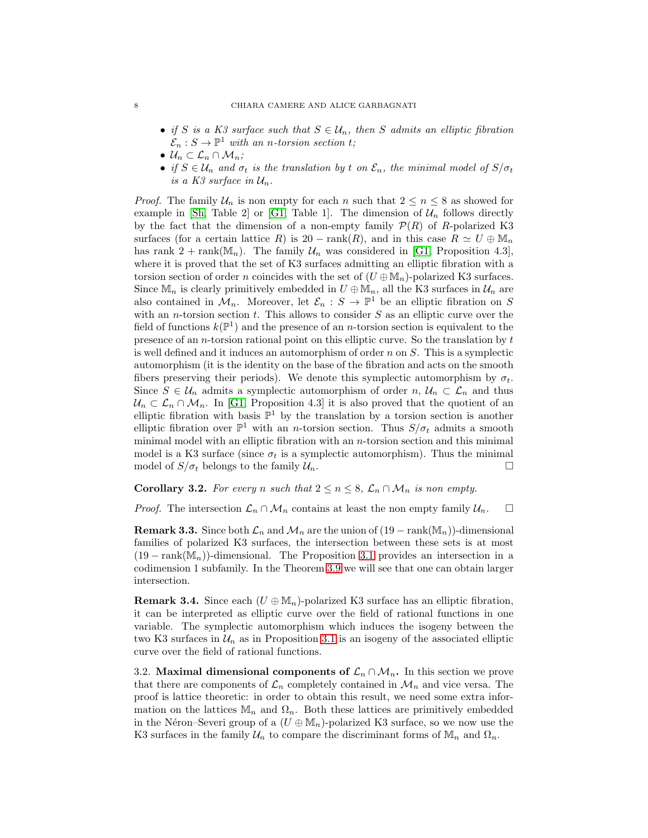- *if* S is a K3 surface such that  $S \in \mathcal{U}_n$ , then S admits an elliptic fibration  $\mathcal{E}_n : S \to \mathbb{P}^1$  with an *n*-torsion section t;
- $\mathcal{U}_n \subset \mathcal{L}_n \cap \mathcal{M}_n$ ;
- *if*  $S \in \mathcal{U}_n$  *and*  $\sigma_t$  *is the translation by t on*  $\mathcal{E}_n$ *, the minimal model of*  $S/\sigma_t$ *is a K3 surface in*  $U_n$ .

*Proof.* The family  $\mathcal{U}_n$  is non empty for each n such that  $2 \leq n \leq 8$  as showed for example in [\[Sh,](#page-27-13) Table 2] or [\[G1,](#page-26-3) Table 1]. The dimension of  $\mathcal{U}_n$  follows directly by the fact that the dimension of a non-empty family  $\mathcal{P}(R)$  of R-polarized K3 surfaces (for a certain lattice R) is 20 − rank(R), and in this case  $R \simeq U \oplus \mathbb{M}_n$ has rank  $2 + \text{rank}(\mathbb{M}_n)$ . The family  $\mathcal{U}_n$  was considered in [\[G1,](#page-26-3) Proposition 4.3], where it is proved that the set of K3 surfaces admitting an elliptic fibration with a torsion section of order n coincides with the set of  $(U \oplus M_n)$ -polarized K3 surfaces. Since  $\mathbb{M}_n$  is clearly primitively embedded in  $U \oplus \mathbb{M}_n$ , all the K3 surfaces in  $\mathcal{U}_n$  are also contained in  $\mathcal{M}_n$ . Moreover, let  $\mathcal{E}_n : S \to \mathbb{P}^1$  be an elliptic fibration on S with an *n*-torsion section  $t$ . This allows to consider  $S$  as an elliptic curve over the field of functions  $k(\mathbb{P}^1)$  and the presence of an *n*-torsion section is equivalent to the presence of an *n*-torsion rational point on this elliptic curve. So the translation by  $t$ is well defined and it induces an automorphism of order  $n$  on  $S$ . This is a symplectic automorphism (it is the identity on the base of the fibration and acts on the smooth fibers preserving their periods). We denote this symplectic automorphism by  $\sigma_t$ . Since  $S \in \mathcal{U}_n$  admits a symplectic automorphism of order  $n, \mathcal{U}_n \subset \mathcal{L}_n$  and thus  $\mathcal{U}_n \subset \mathcal{L}_n \cap \mathcal{M}_n$ . In [\[G1,](#page-26-3) Proposition 4.3] it is also proved that the quotient of an elliptic fibration with basis  $\mathbb{P}^1$  by the translation by a torsion section is another elliptic fibration over  $\mathbb{P}^1$  with an *n*-torsion section. Thus  $S/\sigma_t$  admits a smooth minimal model with an elliptic fibration with an  $n$ -torsion section and this minimal model is a K3 surface (since  $\sigma_t$  is a symplectic automorphism). Thus the minimal model of  $S/\sigma_t$  belongs to the family  $\mathcal{U}_n$ .

**Corollary 3.2.** For every n such that  $2 \leq n \leq 8$ ,  $\mathcal{L}_n \cap \mathcal{M}_n$  is non empty.

*Proof.* The intersection  $\mathcal{L}_n \cap \mathcal{M}_n$  contains at least the non empty family  $\mathcal{U}_n$ .  $\Box$ 

<span id="page-7-0"></span>**Remark 3.3.** Since both  $\mathcal{L}_n$  and  $\mathcal{M}_n$  are the union of  $(19 - \text{rank}(\mathbb{M}_n))$ -dimensional families of polarized K3 surfaces, the intersection between these sets is at most  $(19 - \text{rank}(\mathbb{M}_n))$ -dimensional. The Proposition [3.1](#page-6-4) provides an intersection in a codimension 1 subfamily. In the Theorem [3.9](#page-9-0) we will see that one can obtain larger intersection.

**Remark 3.4.** Since each  $(U \oplus M_n)$ -polarized K3 surface has an elliptic fibration, it can be interpreted as elliptic curve over the field of rational functions in one variable. The symplectic automorphism which induces the isogeny between the two K3 surfaces in  $\mathcal{U}_n$  as in Proposition [3.1](#page-6-4) is an isogeny of the associated elliptic curve over the field of rational functions.

3.2. Maximal dimensional components of  $\mathcal{L}_n \cap \mathcal{M}_n$ . In this section we prove that there are components of  $\mathcal{L}_n$  completely contained in  $\mathcal{M}_n$  and vice versa. The proof is lattice theoretic: in order to obtain this result, we need some extra information on the lattices  $\mathbb{M}_n$  and  $\Omega_n$ . Both these lattices are primitively embedded in the Néron–Severi group of a  $(U \oplus M_n)$ -polarized K3 surface, so we now use the K3 surfaces in the family  $\mathcal{U}_n$  to compare the discriminant forms of  $\mathbb{M}_n$  and  $\Omega_n$ .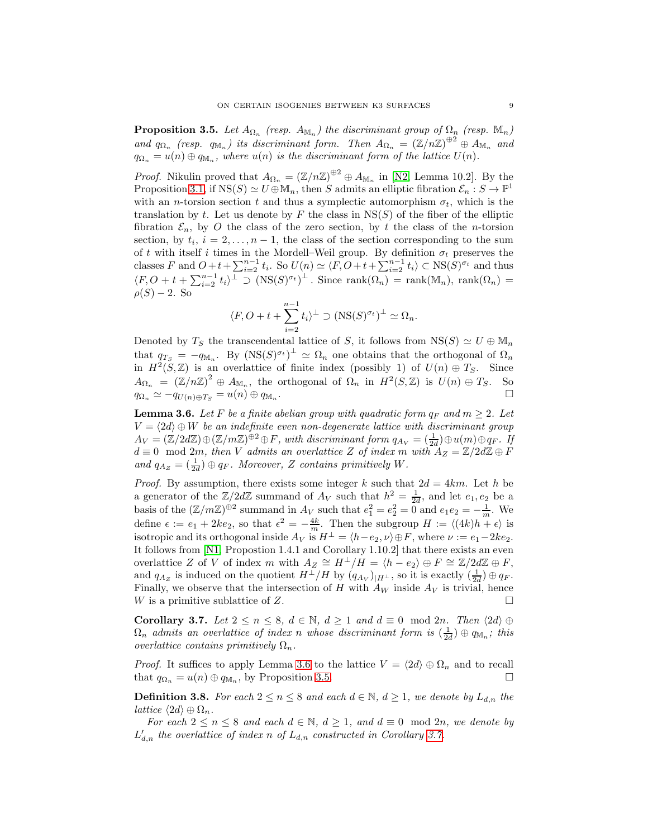<span id="page-8-1"></span>**Proposition 3.5.** Let  $A_{\Omega_n}$  (resp.  $A_{\mathbb{M}_n}$ ) the discriminant group of  $\Omega_n$  (resp.  $\mathbb{M}_n$ ) and  $q_{\Omega_n}$  (resp.  $q_{\mathbb{M}_n}$ ) its discriminant form. Then  $A_{\Omega_n} = (\mathbb{Z}/n\mathbb{Z})^{\oplus 2} \oplus A_{\mathbb{M}_n}$  and  $q_{\Omega_n} = u(n) \oplus q_{\mathbb{M}_n}$ , where  $u(n)$  is the discriminant form of the lattice  $U(n)$ .

*Proof.* Nikulin proved that  $A_{\Omega_n} = (\mathbb{Z}/n\mathbb{Z})^{\oplus 2} \oplus A_{\mathbb{M}_n}$  in [\[N2,](#page-27-0) Lemma 10.2]. By the Proposition [3.1,](#page-6-4) if  $NS(S) \simeq U \oplus \mathbb{M}_n$ , then S admits an elliptic fibration  $\mathcal{E}_n : S \to \mathbb{P}^1$ with an *n*-torsion section t and thus a symplectic automorphism  $\sigma_t$ , which is the translation by t. Let us denote by F the class in  $NS(S)$  of the fiber of the elliptic fibration  $\mathcal{E}_n$ , by O the class of the zero section, by t the class of the n-torsion section, by  $t_i$ ,  $i = 2, \ldots, n - 1$ , the class of the section corresponding to the sum of t with itself i times in the Mordell–Weil group. By definition  $\sigma_t$  preserves the classes F and  $O+t+\sum_{i=2}^{n-1}t_i$ . So  $U(n) \simeq \langle F, O+t+\sum_{i=2}^{n-1}t_i \rangle \subset \text{NS}(S)^{\sigma_t}$  and thus  $\langle F, O + t + \sum_{i=2}^{n-1} t_i \rangle^{\perp} \supset (\text{NS}(S)^{\sigma_t})^{\perp}$ . Since rank $(\Omega_n)$  = rank $(\mathbb{M}_n)$ , rank $(\Omega_n)$  =  $\rho(S) - 2$ . So

$$
\langle F, O + t + \sum_{i=2}^{n-1} t_i \rangle^{\perp} \supset (\text{NS}(S)^{\sigma_t})^{\perp} \simeq \Omega_n.
$$

Denoted by  $T_S$  the transcendental lattice of S, it follows from  $NS(S) \simeq U \oplus M_n$ that  $q_{T_S} = -q_{\mathbb{M}_n}$ . By  $(NS(S)^{\sigma_t})^{\perp} \simeq \Omega_n$  one obtains that the orthogonal of  $\Omega_n$ in  $H^2(S, \mathbb{Z})$  is an overlattice of finite index (possibly 1) of  $U(n) \oplus T_S$ . Since  $A_{\Omega_n} = (\mathbb{Z}/n\mathbb{Z})^2 \oplus A_{\mathbb{M}_n}$ , the orthogonal of  $\Omega_n$  in  $H^2(S, \mathbb{Z})$  is  $U(n) \oplus T_S$ . So  $q_{\Omega_n} \simeq -q_{U(n)\oplus T_S} = u(n) \oplus q_{\mathbb{M}_n}.$ . В последните последните последните последните и последните последните последните последните последните после<br>В последните последните последните последните последните последните последните последните последните последнит

<span id="page-8-0"></span>**Lemma 3.6.** Let F be a finite abelian group with quadratic form  $q_F$  and  $m \geq 2$ . Let  $V = \langle 2d \rangle \oplus W$  *be an indefinite even non-degenerate lattice with discriminant group*  $A_V = (\mathbb{Z}/2d\mathbb{Z}) \oplus (\mathbb{Z}/m\mathbb{Z})^{\oplus 2} \oplus F$ , with discriminant form  $q_{A_V} = (\frac{1}{2d}) \oplus u(m) \oplus q_F$ . If  $d \equiv 0 \mod 2m$ , then V admits an overlattice Z of index m with  $A_Z = \mathbb{Z}/2d\mathbb{Z} \oplus F$ and  $q_{A_Z} = \left(\frac{1}{2d}\right) \oplus q_F$ . Moreover, Z contains primitively W.

*Proof.* By assumption, there exists some integer k such that  $2d = 4km$ . Let h be a generator of the  $\mathbb{Z}/2d\mathbb{Z}$  summand of  $A_V$  such that  $h^2 = \frac{1}{2d}$ , and let  $e_1, e_2$  be a basis of the  $(\mathbb{Z}/m\mathbb{Z})^{\oplus 2}$  summand in  $A_V$  such that  $e_1^2 = e_2^2 = 0$  and  $e_1e_2 = -\frac{1}{m}$ . We define  $\epsilon := e_1 + 2ke_2$ , so that  $\epsilon^2 = -\frac{4k}{m}$ . Then the subgroup  $H := \langle (4k)h + \epsilon \rangle$  is isotropic and its orthogonal inside  $A_V$  is  $H^{\perp} = \langle h - e_2, \nu \rangle \oplus F$ , where  $\nu := e_1 - 2ke_2$ . It follows from [\[N1,](#page-27-14) Propostion 1.4.1 and Corollary 1.10.2] that there exists an even overlattice Z of V of index m with  $A_Z \cong H^{\perp}/H = \langle h - e_2 \rangle \oplus F \cong \mathbb{Z}/2d\mathbb{Z} \oplus F$ , and  $q_{A_Z}$  is induced on the quotient  $H^{\perp}/H$  by  $(q_{A_V})_{|H^{\perp}}$ , so it is exactly  $(\frac{1}{2d}) \oplus q_F$ . Finally, we observe that the intersection of H with  $A_W$  inside  $A_V$  is trivial, hence W is a primitive sublattice of Z.

<span id="page-8-2"></span>Corollary 3.7. *Let*  $2 \le n \le 8$ ,  $d \in \mathbb{N}$ ,  $d \ge 1$  *and*  $d \equiv 0 \mod 2n$ . *Then*  $\langle 2d \rangle \oplus$  $\Omega_n$  *admits an overlattice of index n whose discriminant form is*  $(\frac{1}{2d}) \oplus q_{\mathbb{M}_n}$ ; *this overlattice contains primitively*  $\Omega_n$ .

*Proof.* It suffices to apply Lemma [3.6](#page-8-0) to the lattice  $V = \langle 2d \rangle \oplus \Omega_n$  and to recall that  $q_{\Omega_n} = u(n) \oplus q_{\mathbb{M}_n}$ , by Proposition [3.5.](#page-8-1)

**Definition 3.8.** *For each*  $2 \le n \le 8$  *and each*  $d \in \mathbb{N}$ ,  $d \ge 1$ *, we denote by*  $L_{d,n}$  *the lattice*  $\langle 2d \rangle \oplus \Omega_n$ .

*For each*  $2 \le n \le 8$  *and each*  $d \in \mathbb{N}$ ,  $d \ge 1$ *, and*  $d \equiv 0 \mod 2n$ *, we denote by*  $L'_{d,n}$  the overlattice of index n of  $L_{d,n}$  constructed in Corollary [3.7.](#page-8-2)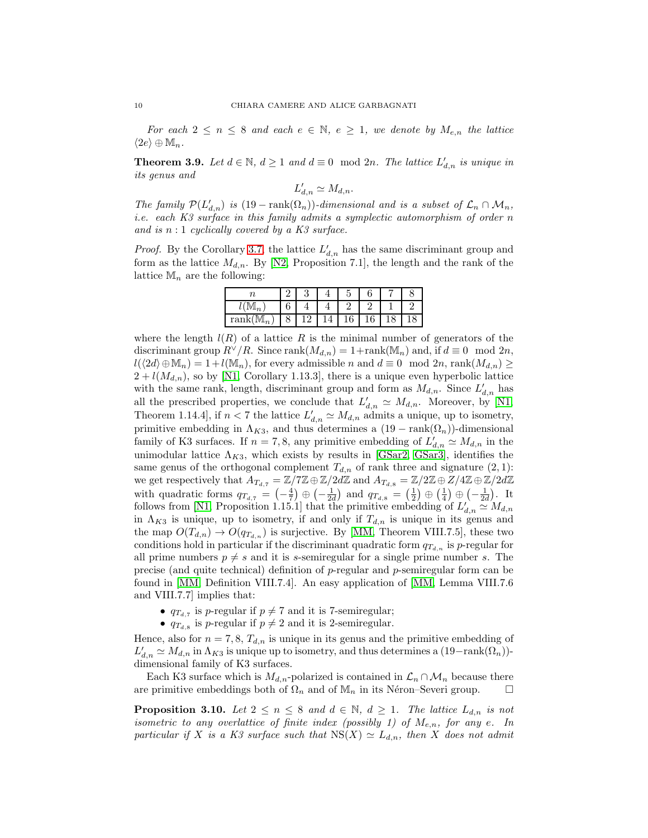*For each*  $2 \leq n \leq 8$  *and each*  $e \in \mathbb{N}$ ,  $e \geq 1$ , we denote by  $M_{e,n}$  the lattice  $\langle 2e \rangle \oplus \mathbb{M}_n$ .

<span id="page-9-0"></span>**Theorem 3.9.** Let  $d \in \mathbb{N}$ ,  $d \ge 1$  and  $d \equiv 0 \mod 2n$ . The lattice  $L'_{d,n}$  is unique in *its genus and*

$$
L'_{d,n} \simeq M_{d,n}.
$$

*The family*  $\mathcal{P}(L'_{d,n})$  *is* (19 − rank( $\Omega_n$ ))*-dimensional and is a subset of*  $\mathcal{L}_n \cap \mathcal{M}_n$ , *i.e. each K3 surface in this family admits a symplectic automorphism of order* n *and is* n : 1 *cyclically covered by a K3 surface.*

*Proof.* By the Corollary [3.7,](#page-8-2) the lattice  $L'_{d,n}$  has the same discriminant group and form as the lattice  $M_{d,n}$ . By [\[N2,](#page-27-0) Proposition 7.1], the length and the rank of the lattice  $\mathbb{M}_n$  are the following:

| IV $\mathbb{I}_n$                | U |  |   |  |  |
|----------------------------------|---|--|---|--|--|
| $rank(\mathbb{M})$<br>$\sqrt{2}$ |   |  | ╰ |  |  |

where the length  $l(R)$  of a lattice R is the minimal number of generators of the discriminant group  $R^{\vee}/R$ . Since rank $(M_{d,n}) = 1+\text{rank}(\mathbb{M}_n)$  and, if  $d \equiv 0 \mod 2n$ ,  $l(\langle 2d \rangle \oplus \mathbb{M}_n) = 1 + l(\mathbb{M}_n)$ , for every admissible n and  $d \equiv 0 \mod 2n$ , rank $(M_{d,n}) \ge$  $2 + l(M_{d,n})$ , so by [\[N1,](#page-27-14) Corollary 1.13.3], there is a unique even hyperbolic lattice with the same rank, length, discriminant group and form as  $M_{d,n}$ . Since  $L'_{d,n}$  has all the prescribed properties, we conclude that  $L'_{d,n} \simeq M_{d,n}$ . Moreover, by [\[N1,](#page-27-14) Theorem 1.14.4, if  $n < 7$  the lattice  $L'_{d,n} \simeq M_{d,n}$  admits a unique, up to isometry, primitive embedding in  $\Lambda_{K3}$ , and thus determines a  $(19 - \text{rank}(\Omega_n))$ -dimensional family of K3 surfaces. If  $n = 7, 8$ , any primitive embedding of  $L'_{d,n} \simeq M_{d,n}$  in the unimodular lattice  $\Lambda_{K3}$ , which exists by results in [\[GSar2,](#page-27-4) [GSar3\]](#page-27-5), identifies the same genus of the orthogonal complement  $T_{d,n}$  of rank three and signature  $(2, 1)$ : we get respectively that  $A_{T_{d,7}} = \mathbb{Z}/7\mathbb{Z} \oplus \mathbb{Z}/2d\mathbb{Z}$  and  $A_{T_{d,8}} = \mathbb{Z}/2\mathbb{Z} \oplus \mathbb{Z}/4\mathbb{Z} \oplus \mathbb{Z}/2d\mathbb{Z}$ with quadratic forms  $q_{T_{d,7}} = \left(-\frac{4}{7}\right) \oplus \left(-\frac{1}{2d}\right)$  and  $q_{T_{d,8}} = \left(\frac{1}{2}\right) \oplus \left(\frac{1}{4}\right) \oplus \left(-\frac{1}{2d}\right)$ . It follows from [\[N1,](#page-27-14) Proposition 1.15.1] that the primitive embedding of  $L'_{d,n} \simeq M_{d,n}$ in  $\Lambda_{K3}$  is unique, up to isometry, if and only if  $T_{d,n}$  is unique in its genus and the map  $O(T_{d,n}) \to O(q_{T_{d,n}})$  is surjective. By [\[MM,](#page-27-15) Theorem VIII.7.5], these two conditions hold in particular if the discriminant quadratic form  $q_{\mathcal{T}_{d,n}}$  is p-regular for all prime numbers  $p \neq s$  and it is s-semiregular for a single prime number s. The precise (and quite technical) definition of p-regular and p-semiregular form can be found in [\[MM,](#page-27-15) Definition VIII.7.4]. An easy application of [\[MM,](#page-27-15) Lemma VIII.7.6 and VIII.7.7] implies that:

- $q_{T_{d,7}}$  is p-regular if  $p \neq 7$  and it is 7-semiregular;
- $q_{T_{d,8}}$  is p-regular if  $p \neq 2$  and it is 2-semiregular.

Hence, also for  $n = 7, 8, T_{d,n}$  is unique in its genus and the primitive embedding of  $L'_{d,n} \simeq M_{d,n}$  in  $\Lambda_{K3}$  is unique up to isometry, and thus determines a  $(19-\text{rank}(\Omega_n))$ dimensional family of K3 surfaces.

Each K3 surface which is  $M_{d,n}$ -polarized is contained in  $\mathcal{L}_n \cap \mathcal{M}_n$  because there are primitive embeddings both of  $\Omega_n$  and of  $\mathbb{M}_n$  in its Néron–Severi group.  $\square$ 

<span id="page-9-1"></span>**Proposition 3.10.** *Let*  $2 \le n \le 8$  *and*  $d \in \mathbb{N}$ ,  $d \ge 1$ *. The lattice*  $L_{d,n}$  *is not isometric to any overlattice of finite index (possibly 1) of*  $M_{e,n}$ , for any e. In *particular if* X *is a K3 surface such that*  $NS(X) \simeq L_{d,n}$ *, then* X *does not admit*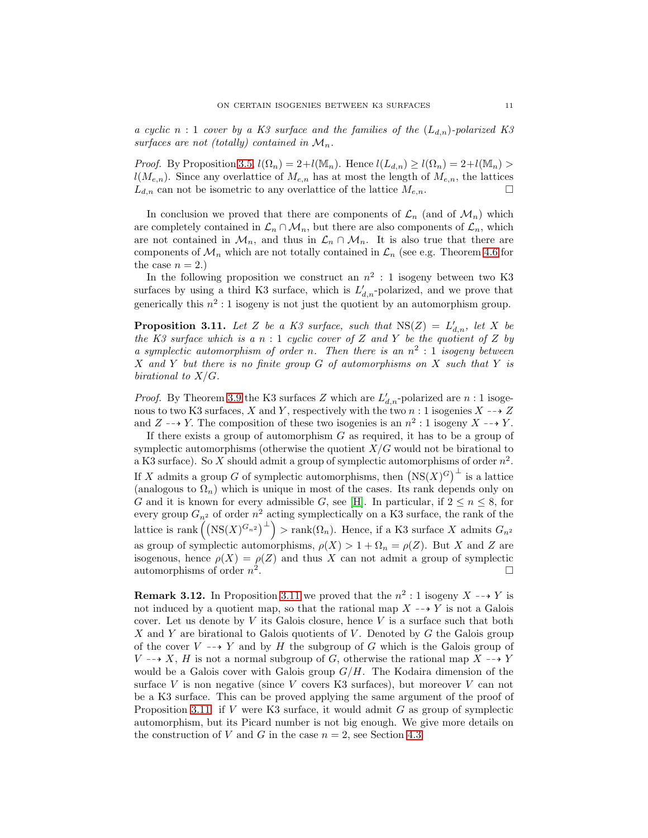*a cyclic*  $n:1$  *cover by a K3 surface and the families of the*  $(L_{d,n})$ *-polarized K3* surfaces are not (totally) contained in  $\mathcal{M}_n$ .

*Proof.* By Proposition [3.5,](#page-8-1)  $l(\Omega_n) = 2 + l(\mathbb{M}_n)$ . Hence  $l(L_{d,n}) \ge l(\Omega_n) = 2 + l(\mathbb{M}_n) >$  $l(M_{e,n})$ . Since any overlattice of  $M_{e,n}$  has at most the length of  $M_{e,n}$ , the lattices  $L_{d,n}$  can not be isometric to any overlattice of the lattice  $M_{e,n}$ .

In conclusion we proved that there are components of  $\mathcal{L}_n$  (and of  $\mathcal{M}_n$ ) which are completely contained in  $\mathcal{L}_n \cap \mathcal{M}_n$ , but there are also components of  $\mathcal{L}_n$ , which are not contained in  $\mathcal{M}_n$ , and thus in  $\mathcal{L}_n \cap \mathcal{M}_n$ . It is also true that there are components of  $\mathcal{M}_n$  which are not totally contained in  $\mathcal{L}_n$  (see e.g. Theorem [4.6](#page-12-0) for the case  $n = 2$ .

In the following proposition we construct an  $n^2:1$  isogeny between two K3 surfaces by using a third K3 surface, which is  $L'_{d,n}$ -polarized, and we prove that generically this  $n^2:1$  isogeny is not just the quotient by an automorphism group.

<span id="page-10-0"></span>**Proposition 3.11.** Let Z be a K3 surface, such that  $NS(Z) = L'_{d,n}$ , let X be *the K3 surface which is a* n : 1 *cyclic cover of* Z *and* Y *be the quotient of* Z *by a symplectic automorphism of order* n*. Then there is an* n 2 : 1 *isogeny between* X *and* Y *but there is no finite group* G *of automorphisms on* X *such that* Y *is birational to* X/G*.*

*Proof.* By Theorem [3.9](#page-9-0) the K3 surfaces Z which are  $L'_{d,n}$ -polarized are  $n:1$  isogenous to two K3 surfaces, X and Y, respectively with the two n : 1 isogenies  $X \rightarrow Z$ and  $Z \dashrightarrow Y$ . The composition of these two isogenies is an  $n^2 : 1$  isogeny  $X \dashrightarrow Y$ .

If there exists a group of automorphism  $G$  as required, it has to be a group of symplectic automorphisms (otherwise the quotient  $X/G$  would not be birational to a K3 surface). So X should admit a group of symplectic automorphisms of order  $n^2$ . If X admits a group G of symplectic automorphisms, then  $(NS(X)^G)^{\perp}$  is a lattice (analogous to  $\Omega_n$ ) which is unique in most of the cases. Its rank depends only on G and it is known for every admissible G, see [\[H\]](#page-27-16). In particular, if  $2 \leq n \leq 8$ , for every group  $G_{n^2}$  of order  $n^2$  acting symplectically on a K3 surface, the rank of the lattice is rank $((NS(X)^{G_{n^2}})^{\perp})$  > rank $(\Omega_n)$ . Hence, if a K3 surface X admits  $G_{n^2}$ as group of symplectic automorphisms,  $\rho(X) > 1 + \Omega_n = \rho(Z)$ . But X and Z are isogenous, hence  $\rho(X) = \rho(Z)$  and thus X can not admit a group of symplectic automorphisms of order  $n^2$ .

<span id="page-10-1"></span>**Remark 3.12.** In Proposition [3.11](#page-10-0) we proved that the  $n^2:1$  isogeny  $X \dashrightarrow Y$  is not induced by a quotient map, so that the rational map  $X \dashrightarrow Y$  is not a Galois cover. Let us denote by  $V$  its Galois closure, hence  $V$  is a surface such that both X and Y are birational to Galois quotients of V. Denoted by  $G$  the Galois group of the cover  $V \dashrightarrow Y$  and by H the subgroup of G which is the Galois group of  $V \rightarrow X$ , H is not a normal subgroup of G, otherwise the rational map  $X \rightarrow Y$ would be a Galois cover with Galois group  $G/H$ . The Kodaira dimension of the surface V is non negative (since V covers K3 surfaces), but moreover V can not be a K3 surface. This can be proved applying the same argument of the proof of Proposition [3.11:](#page-10-0) if V were K3 surface, it would admit G as group of symplectic automorphism, but its Picard number is not big enough. We give more details on the construction of V and G in the case  $n = 2$ , see Section [4.3](#page-14-0)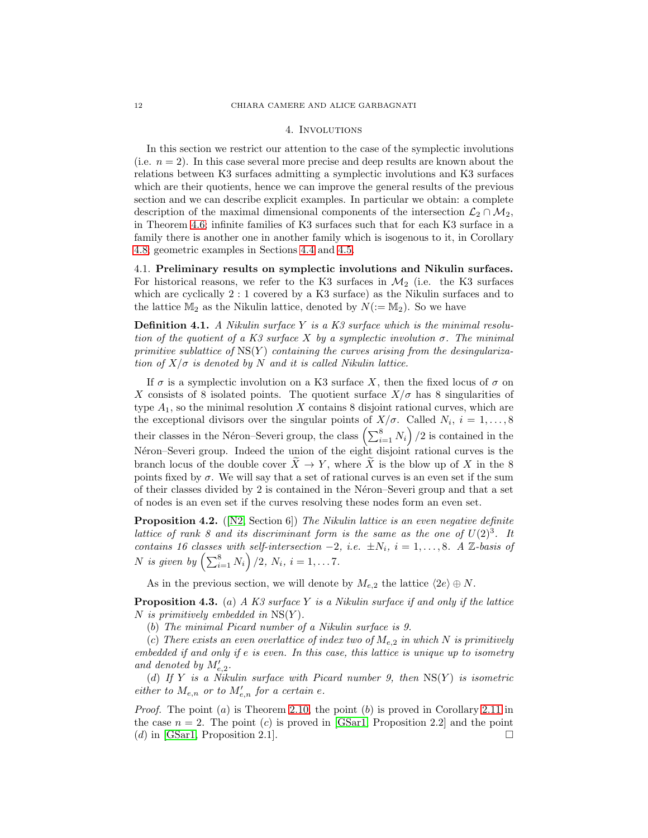### 4. Involutions

<span id="page-11-0"></span>In this section we restrict our attention to the case of the symplectic involutions (i.e.  $n = 2$ ). In this case several more precise and deep results are known about the relations between K3 surfaces admitting a symplectic involutions and K3 surfaces which are their quotients, hence we can improve the general results of the previous section and we can describe explicit examples. In particular we obtain: a complete description of the maximal dimensional components of the intersection  $\mathcal{L}_2 \cap \mathcal{M}_2$ , in Theorem [4.6;](#page-12-0) infinite families of K3 surfaces such that for each K3 surface in a family there is another one in another family which is isogenous to it, in Corollary [4.8;](#page-13-0) geometric examples in Sections [4.4](#page-17-0) and [4.5.](#page-23-0)

4.1. Preliminary results on symplectic involutions and Nikulin surfaces. For historical reasons, we refer to the K3 surfaces in  $\mathcal{M}_2$  (i.e. the K3 surfaces which are cyclically 2 : 1 covered by a K3 surface) as the Nikulin surfaces and to the lattice  $\mathbb{M}_2$  as the Nikulin lattice, denoted by  $N(:=\mathbb{M}_2)$ . So we have

Definition 4.1. *A Nikulin surface* Y *is a K3 surface which is the minimal resolution of the quotient of a K3 surface* X *by a symplectic involution* σ*. The minimal primitive sublattice of*  $NS(Y)$  *containing the curves arising from the desingularization of*  $X/\sigma$  *is denoted by* N *and it is called Nikulin lattice.* 

If  $\sigma$  is a symplectic involution on a K3 surface X, then the fixed locus of  $\sigma$  on X consists of 8 isolated points. The quotient surface  $X/\sigma$  has 8 singularities of type  $A_1$ , so the minimal resolution X contains 8 disjoint rational curves, which are the exceptional divisors over the singular points of  $X/\sigma$ . Called  $N_i$ ,  $i = 1, \ldots, 8$ their classes in the Néron–Severi group, the class  $\left(\sum_{i=1}^{8} N_i\right)/2$  is contained in the Néron–Severi group. Indeed the union of the eight disjoint rational curves is the branch locus of the double cover  $X \to Y$ , where X is the blow up of X in the 8 points fixed by  $\sigma$ . We will say that a set of rational curves is an even set if the sum of their classes divided by  $2$  is contained in the Néron–Severi group and that a set of nodes is an even set if the curves resolving these nodes form an even set.

Proposition 4.2. ([\[N2,](#page-27-0) Section 6]) *The Nikulin lattice is an even negative definite lattice of rank 8 and its discriminant form is the same as the one of*  $U(2)^3$ . It *contains 16 classes with self-intersection*  $-2$ *, i.e.*  $\pm N_i$ *, i* = 1*,...,8. A* Z*-basis of N* is given by  $\left(\sum_{i=1}^{8} N_i\right)/2$ ,  $N_i$ ,  $i = 1, \ldots 7$ .

As in the previous section, we will denote by  $M_{e,2}$  the lattice  $\langle 2e \rangle \oplus N$ .

<span id="page-11-1"></span>Proposition 4.3. (a) *A K3 surface* Y *is a Nikulin surface if and only if the lattice* N *is primitively embedded in* NS(Y )*.*

(b) *The minimal Picard number of a Nikulin surface is 9.*

(c) There exists an even overlattice of index two of  $M_{e,2}$  in which N is primitively *embedded if and only if* e *is even. In this case, this lattice is unique up to isometry* and denoted by  $M'_{e,2}$ .

(d) *If* Y *is a Nikulin surface with Picard number 9, then* NS(Y ) *is isometric either to*  $M_{e,n}$  *or to*  $M'_{e,n}$  *for a certain e*.

*Proof.* The point  $(a)$  is Theorem [2.10,](#page-3-3) the point  $(b)$  is proved in Corollary [2.11](#page-4-0) in the case  $n = 2$ . The point (c) is proved in [\[GSar1,](#page-27-3) Proposition 2.2] and the point (d) in [\[GSar1,](#page-27-3) Proposition 2.1].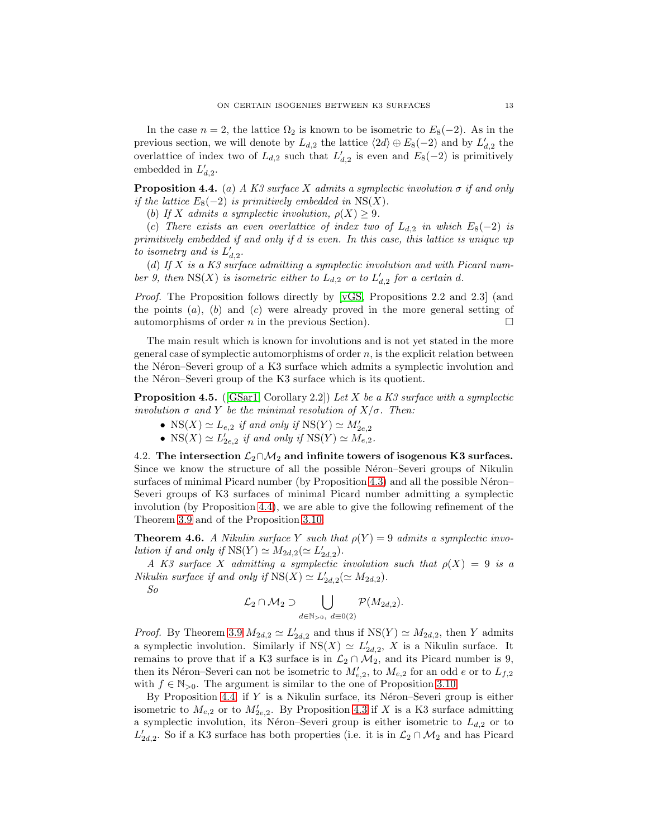In the case  $n = 2$ , the lattice  $\Omega_2$  is known to be isometric to  $E_8(-2)$ . As in the previous section, we will denote by  $L_{d,2}$  the lattice  $\langle 2d \rangle \oplus E_8(-2)$  and by  $L'_{d,2}$  the overlattice of index two of  $L_{d,2}$  such that  $L'_{d,2}$  is even and  $E_8(-2)$  is primitively embedded in  $L'_{d,2}$ .

<span id="page-12-1"></span>**Proposition 4.4.** (a) *A K3 surface X admits a symplectic involution*  $\sigma$  *if and only if the lattice*  $E_8(-2)$  *is primitively embedded in*  $NS(X)$ *.* 

(b) If X admits a symplectic involution,  $\rho(X) \geq 9$ .

(c) There exists an even overlattice of index two of  $L_{d,2}$  in which  $E_8(-2)$  is *primitively embedded if and only if* d *is even. In this case, this lattice is unique up* to isometry and is  $L'_{d,2}$ .

(d) *If* X *is a K3 surface admitting a symplectic involution and with Picard num*ber 9, then  $NS(X)$  is isometric either to  $L_{d,2}$  or to  $L'_{d,2}$  for a certain d.

*Proof.* The Proposition follows directly by [\[vGS,](#page-27-2) Propositions 2.2 and 2.3] (and the points  $(a)$ ,  $(b)$  and  $(c)$  were already proved in the more general setting of automorphisms of order n in the previous Section).  $\Box$ 

The main result which is known for involutions and is not yet stated in the more general case of symplectic automorphisms of order  $n$ , is the explicit relation between the Néron–Severi group of a K3 surface which admits a symplectic involution and the Néron–Severi group of the K3 surface which is its quotient.

<span id="page-12-2"></span>Proposition 4.5. ([\[GSar1,](#page-27-3) Corollary 2.2]) *Let* X *be a K3 surface with a symplectic involution*  $\sigma$  *and* Y *be the minimal resolution of*  $X/\sigma$ *. Then:* 

- NS(X)  $\simeq L_{e,2}$  *if and only if* NS(Y)  $\simeq M'_{2e,2}$
- $NS(X) \simeq L'_{2e,2}$  *if and only if*  $NS(Y) \simeq M_{e,2}$ *.*

4.2. The intersection  $\mathcal{L}_2 \cap \mathcal{M}_2$  and infinite towers of isogenous K3 surfaces. Since we know the structure of all the possible N<sub>eron–Severi</sub> groups of Nikulin surfaces of minimal Picard number (by Proposition [4.3\)](#page-11-1) and all the possible Néron– Severi groups of K3 surfaces of minimal Picard number admitting a symplectic involution (by Proposition [4.4\)](#page-12-1), we are able to give the following refinement of the Theorem [3.9](#page-9-0) and of the Proposition [3.10.](#page-9-1)

<span id="page-12-0"></span>**Theorem 4.6.** *A Nikulin surface* Y *such that*  $\rho(Y) = 9$  *admits a symplectic involution if and only if*  $NS(Y) \simeq M_{2d,2}(\simeq L'_{2d,2})$ *.* 

*A* K3 surface X admitting a symplectic involution such that  $\rho(X) = 9$  is a *Nikulin surface if and only if*  $NS(X) \simeq L'_{2d,2}(\simeq M_{2d,2})$ *.* 

*So*

$$
\mathcal{L}_2 \cap \mathcal{M}_2 \supset \bigcup_{d \in \mathbb{N}_{>0}, d \equiv 0(2)} \mathcal{P}(M_{2d,2}).
$$

*Proof.* By Theorem [3.9](#page-9-0)  $M_{2d,2} \simeq L'_{2d,2}$  and thus if  $NS(Y) \simeq M_{2d,2}$ , then Y admits a symplectic involution. Similarly if  $NS(X) \simeq L'_{2d,2}$ , X is a Nikulin surface. It remains to prove that if a K3 surface is in  $\mathcal{L}_2 \cap \mathcal{M}_2$ , and its Picard number is 9, then its Néron–Severi can not be isometric to  $M'_{e,2}$ , to  $M_{e,2}$  for an odd e or to  $L_{f,2}$ with  $f \in \mathbb{N}_{>0}$ . The argument is similar to the one of Proposition [3.10.](#page-9-1)

By Proposition [4.4,](#page-12-1) if  $Y$  is a Nikulin surface, its Néron–Severi group is either isometric to  $M_{e,2}$  or to  $M'_{2e,2}$ . By Proposition [4.3](#page-11-1) if X is a K3 surface admitting a symplectic involution, its Néron–Severi group is either isometric to  $L_{d,2}$  or to  $L'_{2d,2}$ . So if a K3 surface has both properties (i.e. it is in  $\mathcal{L}_2 \cap \mathcal{M}_2$  and has Picard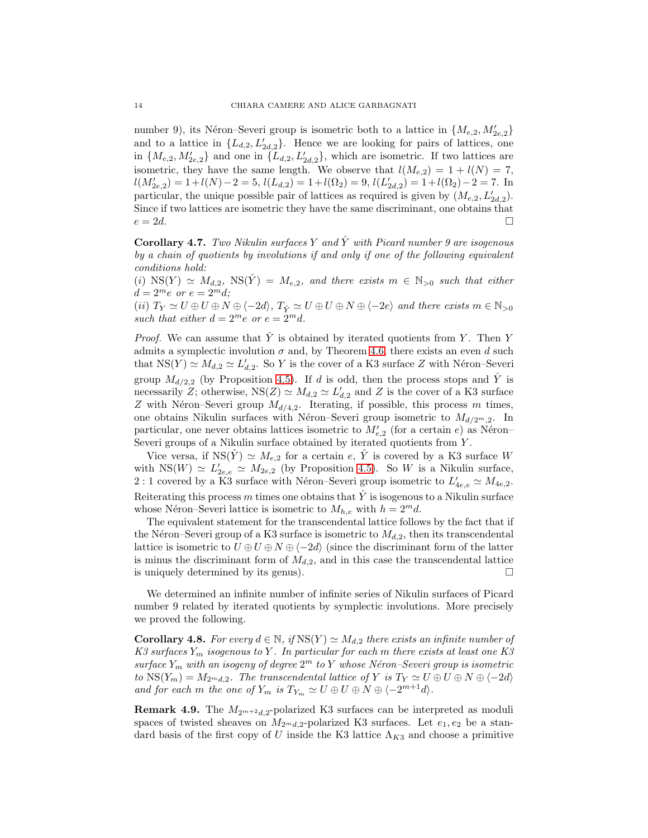number 9), its Néron–Severi group is isometric both to a lattice in  ${M_{e,2}, M'_{2e,2}}$ and to a lattice in  $\{L_{d,2}, L'_{2d,2}\}$ . Hence we are looking for pairs of lattices, one in  $\{M_{e,2}, M'_{2e,2}\}\$  and one in  $\{L_{d,2}, L'_{2d,2}\}\$ , which are isometric. If two lattices are isometric, they have the same length. We observe that  $l(M_{e,2}) = 1 + l(N) = 7$ ,  $l(M'_{2e,2}) = 1 + l(N) - 2 = 5, l(L_{d,2}) = 1 + l(\Omega_2) = 9, l(L'_{2d,2}) = 1 + l(\Omega_2) - 2 = 7.$  In particular, the unique possible pair of lattices as required is given by  $(M_{e,2}, L'_{2d,2})$ . Since if two lattices are isometric they have the same discriminant, one obtains that  $e = 2d$ .

Corollary 4.7. *Two Nikulin surfaces* Y *and* Yˆ *with Picard number 9 are isogenous by a chain of quotients by involutions if and only if one of the following equivalent conditions hold:*

 $(i)$  NS(Y)  $\simeq$   $M_{d,2}$ , NS(Y) =  $M_{e,2}$ , and there exists  $m \in \mathbb{N}_{>0}$  such that either  $d = 2^m e$  *or*  $e = 2^m d$ ;

(ii)  $T_Y \simeq U \oplus U \oplus N \oplus \langle -2d \rangle$ ,  $T_{\hat{Y}} \simeq U \oplus U \oplus N \oplus \langle -2e \rangle$  and there exists  $m \in \mathbb{N}_{>0}$ *such that either*  $d = 2^m e$  *or*  $e = 2^m d$ *.* 

*Proof.* We can assume that  $\hat{Y}$  is obtained by iterated quotients from Y. Then Y admits a symplectic involution  $\sigma$  and, by Theorem [4.6,](#page-12-0) there exists an even d such that  $NS(Y) \simeq M_{d,2} \simeq L'_{d,2}$ . So Y is the cover of a K3 surface Z with Néron–Severi group  $M_{d/2,2}$  (by Proposition [4.5\)](#page-12-2). If d is odd, then the process stops and  $\hat{Y}$  is necessarily Z; otherwise,  $NS(Z) \simeq M_{d,2} \simeq L'_{d,2}$  and Z is the cover of a K3 surface Z with Néron–Severi group  $M_{d/4,2}$ . Iterating, if possible, this process m times, one obtains Nikulin surfaces with Néron–Severi group isometric to  $M_{d/2m,2}$ . In particular, one never obtains lattices isometric to  $M'_{e,2}$  (for a certain e) as Néron– Severi groups of a Nikulin surface obtained by iterated quotients from Y.

Vice versa, if  $NS(Y) \simeq M_{e,2}$  for a certain e, Y is covered by a K3 surface W with  $NS(W) \simeq L'_{2e,e} \simeq M_{2e,2}$  (by Proposition [4.5\)](#page-12-2). So W is a Nikulin surface, 2 : 1 covered by a K3 surface with Néron–Severi group isometric to  $L'_{4e,e} \simeq M_{4e,2}$ . Reiterating this process m times one obtains that  $\hat{Y}$  is isogenous to a Nikulin surface whose Néron–Severi lattice is isometric to  $M_{h,e}$  with  $h = 2^m d$ .

The equivalent statement for the transcendental lattice follows by the fact that if the Néron–Severi group of a K3 surface is isometric to  $M_{d,2}$ , then its transcendental lattice is isometric to  $U \oplus U \oplus N \oplus \langle -2d \rangle$  (since the discriminant form of the latter is minus the discriminant form of  $M_{d,2}$ , and in this case the transcendental lattice is uniquely determined by its genus).  $\Box$ 

We determined an infinite number of infinite series of Nikulin surfaces of Picard number 9 related by iterated quotients by symplectic involutions. More precisely we proved the following.

<span id="page-13-0"></span>**Corollary 4.8.** *For every*  $d \in \mathbb{N}$ , if  $NS(Y) \simeq M_{d,2}$  *there exists an infinite number of K3 surfaces* Y<sup>m</sup> *isogenous to* Y *. In particular for each* m *there exists at least one K3 surface* Y<sup>m</sup> *with an isogeny of degree* 2 <sup>m</sup> *to* Y *whose N´eron–Severi group is isometric to*  $NS(Y_m) = M_{2^m d, 2}$ *. The transcendental lattice of* Y *is*  $T_Y \simeq U \oplus U \oplus N \oplus \langle -2d \rangle$ *and for each* m *the one of*  $Y_m$  *is*  $T_{Y_m} \simeq U \oplus U \oplus N \oplus \langle -2^{m+1}d \rangle$ .

**Remark 4.9.** The  $M_{2^{m+2}d,2}$ -polarized K3 surfaces can be interpreted as moduli spaces of twisted sheaves on  $M_{2m,d,2}$ -polarized K3 surfaces. Let  $e_1, e_2$  be a standard basis of the first copy of U inside the K3 lattice  $\Lambda_{K3}$  and choose a primitive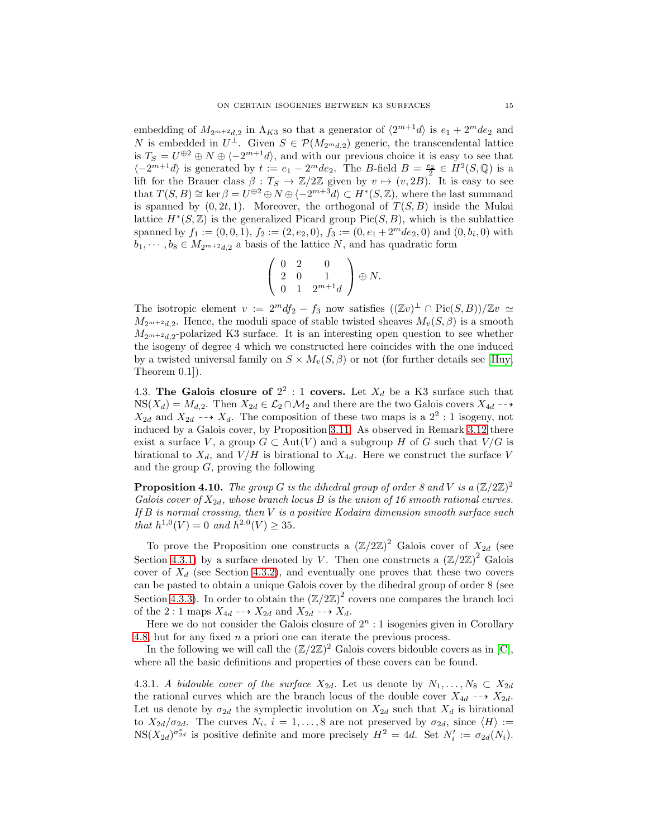embedding of  $M_{2^{m+2}d,2}$  in  $\Lambda_{K3}$  so that a generator of  $\langle 2^{m+1}d \rangle$  is  $e_1 + 2^mde_2$  and N is embedded in  $U^{\perp}$ . Given  $S \in \mathcal{P}(M_{2^m d,2})$  generic, the transcendental lattice is  $T_S = U^{\oplus 2} \oplus N \oplus \langle -2^{m+1}d \rangle$ , and with our previous choice it is easy to see that  $\langle -2^{m+1}d \rangle$  is generated by  $t := e_1 - 2^m de_2$ . The B-field  $B = \frac{e_2}{2} \in H^2(S, \mathbb{Q})$  is a lift for the Brauer class  $\beta: T_S \to \mathbb{Z}/2\mathbb{Z}$  given by  $v \mapsto (v, 2B)$ . It is easy to see that  $T(S, B) \cong \ker \beta = U^{\oplus 2} \oplus N \oplus \langle -2^{m+3}d \rangle \subset H^*(S, \mathbb{Z})$ , where the last summand is spanned by  $(0, 2t, 1)$ . Moreover, the orthogonal of  $T(S, B)$  inside the Mukai lattice  $H^*(S, \mathbb{Z})$  is the generalized Picard group Pic $(S, B)$ , which is the sublattice spanned by  $f_1 := (0, 0, 1), f_2 := (2, e_2, 0), f_3 := (0, e_1 + 2^m d e_2, 0)$  and  $(0, b_i, 0)$  with  $b_1, \dots, b_8 \in M_{2m+2d,2}$  a basis of the lattice N, and has quadratic form

$$
\left(\begin{array}{ccc} 0 & 2 & 0 \\ 2 & 0 & 1 \\ 0 & 1 & 2^{m+1}d \end{array}\right) \oplus N.
$$

The isotropic element  $v := 2^m df_2 - f_3$  now satisfies  $((\mathbb{Z}v)^{\perp} \cap Pic(S, B))/\mathbb{Z}v \simeq$  $M_{2m+2d,2}$ . Hence, the moduli space of stable twisted sheaves  $M_{\nu}(S,\beta)$  is a smooth  $M_{2m+2d,2}$ -polarized K3 surface. It is an interesting open question to see whether the isogeny of degree 4 which we constructed here coincides with the one induced by a twisted universal family on  $S \times M_v(S, \beta)$  or not (for further details see [\[Huy,](#page-27-7) Theorem 0.1]).

<span id="page-14-0"></span>4.3. The Galois closure of  $2^2$ : 1 covers. Let  $X_d$  be a K3 surface such that  $NS(X_d) = M_{d,2}$ . Then  $X_{2d} \in L_2 \cap M_2$  and there are the two Galois covers  $X_{4d} \longrightarrow$  $X_{2d}$  and  $X_{2d}$  --+  $X_d$ . The composition of these two maps is a  $2^2:1$  isogeny, not induced by a Galois cover, by Proposition [3.11.](#page-10-0) As observed in Remark [3.12](#page-10-1) there exist a surface V, a group  $G \subset Aut(V)$  and a subgroup H of G such that  $V/G$  is birational to  $X_d$ , and  $V/H$  is birational to  $X_{4d}$ . Here we construct the surface V and the group  $G$ , proving the following

**Proposition 4.10.** The group G is the dihedral group of order 8 and V is a  $(\mathbb{Z}/2\mathbb{Z})^2$ *Galois cover of*  $X_{2d}$ *, whose branch locus B is the union of 16 smooth rational curves. If* B *is normal crossing, then* V *is a positive Kodaira dimension smooth surface such that*  $h^{1,0}(V) = 0$  *and*  $h^{2,0}(V) \ge 35$ *.* 

To prove the Proposition one constructs a  $(\mathbb{Z}/2\mathbb{Z})^2$  Galois cover of  $X_{2d}$  (see Section [4.3.1\)](#page-14-1) by a surface denoted by V. Then one constructs a  $(\mathbb{Z}/2\mathbb{Z})^2$  Galois cover of  $X_d$  (see Section [4.3.2\)](#page-16-0), and eventually one proves that these two covers can be pasted to obtain a unique Galois cover by the dihedral group of order 8 (see Section [4.3.3\)](#page-16-1). In order to obtain the  $(\mathbb{Z}/2\mathbb{Z})^2$  covers one compares the branch loci of the 2 : 1 maps  $X_{4d} \dashrightarrow X_{2d}$  and  $X_{2d} \dashrightarrow X_d$ .

Here we do not consider the Galois closure of  $2<sup>n</sup>$ : 1 isogenies given in Corollary [4.8,](#page-13-0) but for any fixed n a priori one can iterate the previous process.

In the following we will call the  $(\mathbb{Z}/2\mathbb{Z})^2$  Galois covers bidouble covers as in [\[C\]](#page-26-4), where all the basic definitions and properties of these covers can be found.

<span id="page-14-1"></span>4.3.1. *A bidouble cover of the surface*  $X_{2d}$ . Let us denote by  $N_1, \ldots, N_8 \subset X_{2d}$ the rational curves which are the branch locus of the double cover  $X_{4d} \dashrightarrow X_{2d}$ . Let us denote by  $\sigma_{2d}$  the symplectic involution on  $X_{2d}$  such that  $X_d$  is birational to  $X_{2d}/\sigma_{2d}$ . The curves  $N_i$ ,  $i=1,\ldots,8$  are not preserved by  $\sigma_{2d}$ , since  $\langle H \rangle :=$  $NS(X_{2d})^{\sigma_{2d}^{*}}$  is positive definite and more precisely  $H^{2} = 4d$ . Set  $N'_{i} := \sigma_{2d}(N_{i})$ .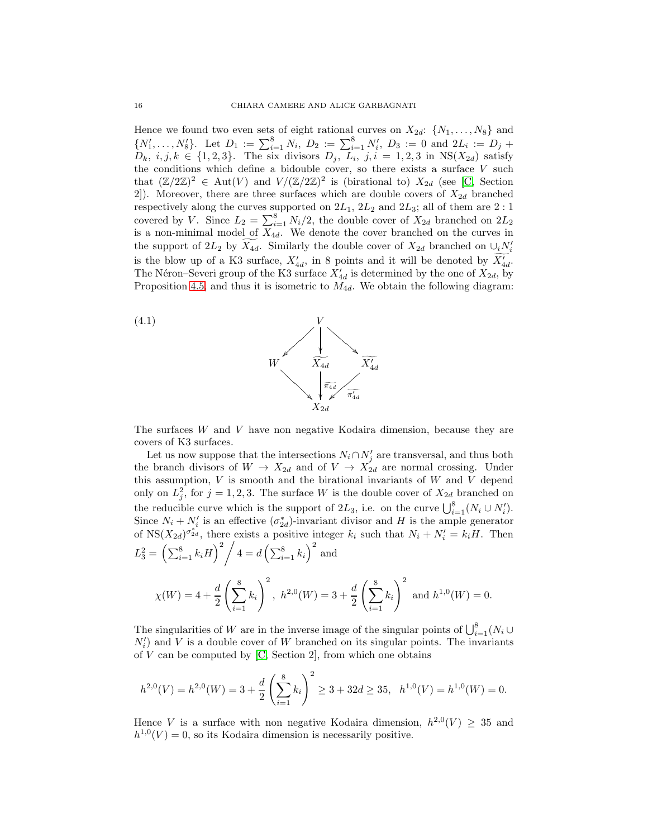Hence we found two even sets of eight rational curves on  $X_{2d}$ :  $\{N_1, \ldots, N_8\}$  and  $\{N'_1, \ldots, N'_8\}$ . Let  $D_1 := \sum_{i=1}^8 N_i$ ,  $D_2 := \sum_{i=1}^8 N'_i$ ,  $D_3 := 0$  and  $2L_i := D_j +$  $D_k$ ,  $i, j, k \in \{1, 2, 3\}$ . The six divisors  $D_j$ ,  $L_i$ ,  $j, i = 1, 2, 3$  in  $NS(X_{2d})$  satisfy the conditions which define a bidouble cover, so there exists a surface  $V$  such that  $(\mathbb{Z}/2\mathbb{Z})^2 \in \text{Aut}(V)$  and  $V/(\mathbb{Z}/2\mathbb{Z})^2$  is (birational to)  $X_{2d}$  (see [\[C,](#page-26-4) Section 2]). Moreover, there are three surfaces which are double covers of  $X_{2d}$  branched respectively along the curves supported on  $2L_1$ ,  $2L_2$  and  $2L_3$ ; all of them are  $2:1$ covered by V. Since  $L_2 = \sum_{i=1}^{8} N_i/2$ , the double cover of  $X_{2d}$  branched on  $2L_2$ is a non-minimal model of  $X_{4d}$ . We denote the cover branched on the curves in the support of  $2L_2$  by  $\widetilde{X_{4d}}$ . Similarly the double cover of  $X_{2d}$  branched on  $\cup_i N'_i$ is the blow up of a K3 surface,  $X'_{4d}$ , in 8 points and it will be denoted by  $X'_{4d}$ . The Néron–Severi group of the K3 surface  $X'_{4d}$  is determined by the one of  $X_{2d}$ , by Proposition [4.5,](#page-12-2) and thus it is isometric to  $M_{4d}$ . We obtain the following diagram:

<span id="page-15-0"></span>

The surfaces W and V have non negative Kodaira dimension, because they are covers of K3 surfaces.

Let us now suppose that the intersections  $N_i \cap N'_j$  are transversal, and thus both the branch divisors of  $W \to X_{2d}$  and of  $V \to X_{2d}$  are normal crossing. Under this assumption,  $V$  is smooth and the birational invariants of  $W$  and  $V$  depend only on  $L_j^2$ , for  $j = 1, 2, 3$ . The surface W is the double cover of  $X_{2d}$  branched on the reducible curve which is the support of  $2L_3$ , i.e. on the curve  $\bigcup_{i=1}^8 (N_i \cup N'_i)$ . Since  $N_i + N'_i$  is an effective  $(\sigma_{2d}^*)$ -invariant divisor and H is the ample generator of  $NS(X_{2d})^{\sigma_{2d}^{*}}$ , there exists a positive integer  $k_i$  such that  $N_i + N'_i = k_i H$ . Then  $L_3^2 = \left(\sum_{i=1}^8 k_i H\right)^2 \bigg/ 4 = d \left(\sum_{i=1}^8 k_i\right)^2$  and

$$
\chi(W) = 4 + \frac{d}{2} \left( \sum_{i=1}^{8} k_i \right)^2
$$
,  $h^{2,0}(W) = 3 + \frac{d}{2} \left( \sum_{i=1}^{8} k_i \right)^2$  and  $h^{1,0}(W) = 0$ .

The singularities of W are in the inverse image of the singular points of  $\bigcup_{i=1}^{8} (N_i \cup$  $N'_{i}$ ) and V is a double cover of W branched on its singular points. The invariants of  $V$  can be computed by  $[C, Section 2]$ , from which one obtains

$$
h^{2,0}(V) = h^{2,0}(W) = 3 + \frac{d}{2} \left(\sum_{i=1}^{8} k_i\right)^2 \ge 3 + 32d \ge 35, \quad h^{1,0}(V) = h^{1,0}(W) = 0.
$$

Hence V is a surface with non negative Kodaira dimension,  $h^{2,0}(V) \geq 35$  and  $h^{1,0}(V) = 0$ , so its Kodaira dimension is necessarily positive.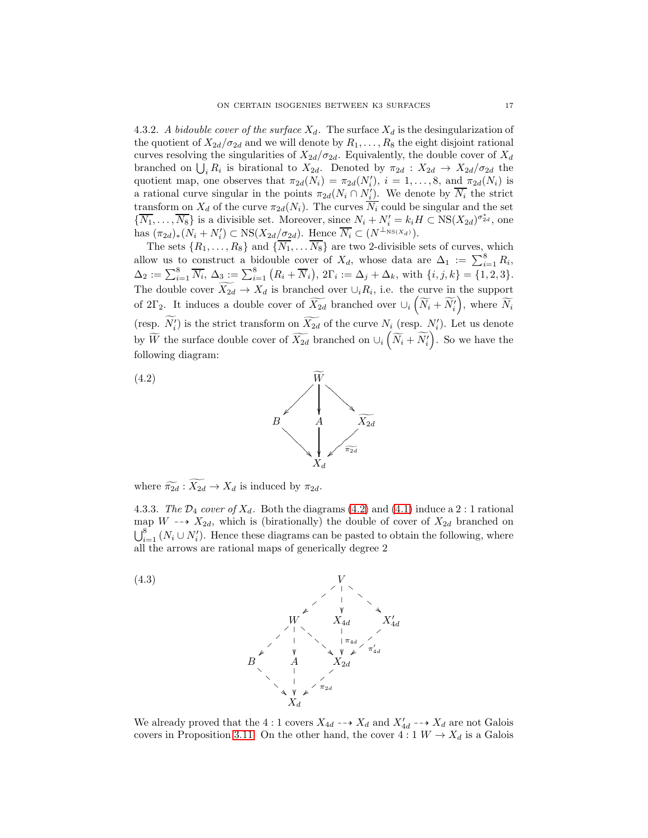<span id="page-16-0"></span>4.3.2. *A bidouble cover of the surface*  $X_d$ . The surface  $X_d$  is the desingularization of the quotient of  $X_{2d}/\sigma_{2d}$  and we will denote by  $R_1, \ldots, R_8$  the eight disjoint rational curves resolving the singularities of  $X_{2d}/\sigma_{2d}$ . Equivalently, the double cover of  $X_d$ branched on  $\bigcup_i R_i$  is birational to  $X_{2d}$ . Denoted by  $\pi_{2d} : X_{2d} \to X_{2d}/\sigma_{2d}$  the quotient map, one observes that  $\pi_{2d}(N_i) = \pi_{2d}(N'_i)$ ,  $i = 1, ..., 8$ , and  $\pi_{2d}(N_i)$  is a rational curve singular in the points  $\pi_{2d}(N_i \cap N'_i)$ . We denote by  $\overline{N_i}$  the strict transform on  $X_d$  of the curve  $\pi_{2d}(N_i)$ . The curves  $\overline{N_i}$  could be singular and the set  $\{\overline{N_1},\ldots,\overline{N_8}\}\$ is a divisible set. Moreover, since  $N_i + N'_i = k_i H \subset \text{NS}(X_{2d})^{\sigma_{2d}^*}$ , one has  $(\pi_{2d})_*(N_i + N'_i) \subset \text{NS}(X_{2d}/\sigma_{2d})$ . Hence  $\overline{N_i} \subset (N^{\perp_{\text{NS}(X_d)}})$ .

The sets  $\{R_1, \ldots, R_8\}$  and  $\{\overline{N_1}, \ldots, \overline{N_8}\}$  are two 2-divisible sets of curves, which allow us to construct a bidouble cover of  $X_d$ , whose data are  $\Delta_1 := \sum_{i=1}^8 R_i$ ,  $\Delta_2 := \sum_{i=1}^8 \overline{N_i}, \, \Delta_3 := \sum_{i=1}^8 (R_i + \overline{N}_i), \, 2\Gamma_i := \Delta_j + \Delta_k, \text{ with } \{i, j, k\} = \{1, 2, 3\}.$ The double cover  $X_{2d} \to X_d$  is branched over  $\cup_i R_i$ , i.e. the curve in the support of 2 $\Gamma_2$ . It induces a double cover of  $\widetilde{X_{2d}}$  branched over  $\cup_i \left( \widetilde{N}_i + \widetilde{N}'_i \right)$ , where  $\widetilde{N}_i$ (resp.  $N'_{i}$ ) is the strict transform on  $\overline{X_{2d}}$  of the curve  $N_{i}$  (resp.  $N'_{i}$ ). Let us denote by  $\widetilde{W}$  the surface double cover of  $\widetilde{X_{2d}}$  branched on  $\cup_i \left( \widetilde{N}_i + \widetilde{N}'_i \right)$ . So we have the following diagram:

<span id="page-16-2"></span>



where  $\widetilde{\pi_{2d}} : \widetilde{X_{2d}} \to X_d$  is induced by  $\pi_{2d}$ .

<span id="page-16-1"></span>4.3.3. *The*  $\mathcal{D}_4$  *cover of*  $X_d$ . Both the diagrams [\(4.2\)](#page-16-2) and [\(4.1\)](#page-15-0) induce a 2 : 1 rational map  $W \dashrightarrow X_{2d}$ , which is (birationally) the double of cover of  $X_{2d}$  branched on  $\bigcup_{i=1}^{8} (N_i \cup N'_i)$ . Hence these diagrams can be pasted to obtain the following, where all the arrows are rational maps of generically degree 2



We already proved that the 4:1 covers  $X_{4d} \dashrightarrow X_d$  and  $X'_{4d} \dashrightarrow X_d$  are not Galois covers in Proposition [3.11.](#page-10-0) On the other hand, the cover  $4:1 W \rightarrow X_d$  is a Galois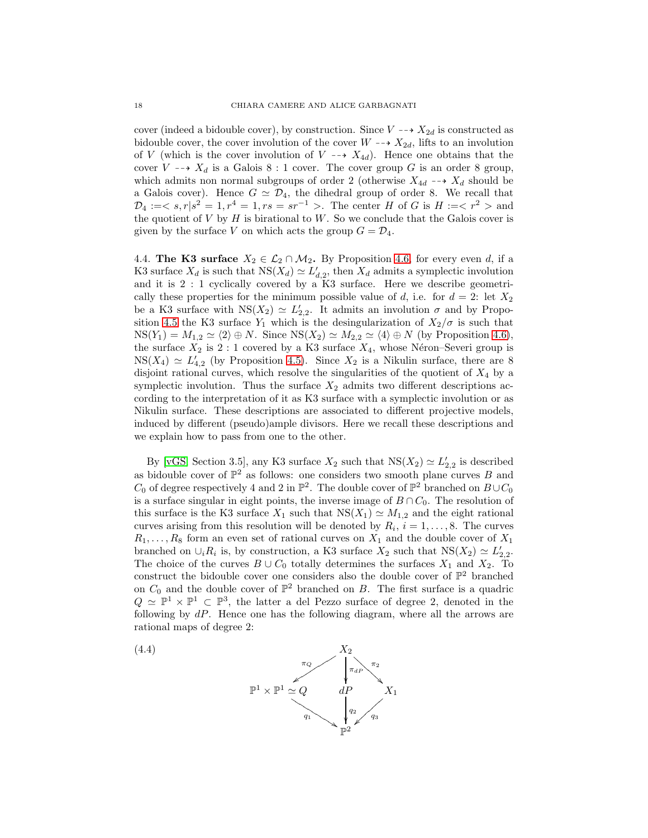cover (indeed a bidouble cover), by construction. Since  $V \dashrightarrow X_{2d}$  is constructed as bidouble cover, the cover involution of the cover  $W \dashrightarrow X_{2d}$ , lifts to an involution of V (which is the cover involution of  $V \dashrightarrow X_{4d}$ ). Hence one obtains that the cover  $V \dashrightarrow X_d$  is a Galois 8 : 1 cover. The cover group G is an order 8 group, which admits non normal subgroups of order 2 (otherwise  $X_{4d} \dashrightarrow X_d$  should be a Galois cover). Hence  $G \simeq \mathcal{D}_4$ , the dihedral group of order 8. We recall that  $\mathcal{D}_4 := \langle s, r | s^2 = 1, r^4 = 1, rs = sr^{-1} \rangle$ . The center H of G is  $H := \langle r^2 \rangle$  and the quotient of  $V$  by  $H$  is birational to  $W$ . So we conclude that the Galois cover is given by the surface V on which acts the group  $G = \mathcal{D}_4$ .

<span id="page-17-0"></span>4.4. The K3 surface  $X_2 \in \mathcal{L}_2 \cap \mathcal{M}_2$ . By Proposition [4.6,](#page-12-0) for every even d, if a K3 surface  $X_d$  is such that  $NS(X_d) \simeq L'_{d,2}$ , then  $X_d$  admits a symplectic involution and it is 2 : 1 cyclically covered by a K3 surface. Here we describe geometrically these properties for the minimum possible value of d, i.e. for  $d = 2$ : let  $X_2$ be a K3 surface with  $NS(X_2) \simeq L'_{2,2}$ . It admits an involution  $\sigma$  and by Propo-sition [4.5](#page-12-2) the K3 surface  $Y_1$  which is the desingularization of  $X_2/\sigma$  is such that  $NS(Y_1) = M_{1,2} \simeq \langle 2 \rangle \oplus N$ . Since  $NS(X_2) \simeq M_{2,2} \simeq \langle 4 \rangle \oplus N$  (by Proposition [4.6\)](#page-12-0), the surface  $X_2$  is 2 : 1 covered by a K3 surface  $X_4$ , whose Néron–Severi group is  $NS(X_4) \simeq L'_{4,2}$  (by Proposition [4.5\)](#page-12-2). Since  $X_2$  is a Nikulin surface, there are 8 disjoint rational curves, which resolve the singularities of the quotient of  $X_4$  by a symplectic involution. Thus the surface  $X_2$  admits two different descriptions according to the interpretation of it as K3 surface with a symplectic involution or as Nikulin surface. These descriptions are associated to different projective models, induced by different (pseudo)ample divisors. Here we recall these descriptions and we explain how to pass from one to the other.

By [\[vGS,](#page-27-2) Section 3.5], any K3 surface  $X_2$  such that  $NS(X_2) \simeq L'_{2,2}$  is described as bidouble cover of  $\mathbb{P}^2$  as follows: one considers two smooth plane curves B and  $C_0$  of degree respectively 4 and 2 in  $\mathbb{P}^2$ . The double cover of  $\mathbb{P}^2$  branched on  $B\cup C_0$ is a surface singular in eight points, the inverse image of  $B \cap C_0$ . The resolution of this surface is the K3 surface  $X_1$  such that  $NS(X_1) \simeq M_{1,2}$  and the eight rational curves arising from this resolution will be denoted by  $R_i$ ,  $i = 1, \ldots, 8$ . The curves  $R_1, \ldots, R_8$  form an even set of rational curves on  $X_1$  and the double cover of  $X_1$ branched on  $\cup_i R_i$  is, by construction, a K3 surface  $X_2$  such that  $NS(X_2) \simeq L'_{2,2}$ . The choice of the curves  $B \cup C_0$  totally determines the surfaces  $X_1$  and  $X_2$ . To construct the bidouble cover one considers also the double cover of  $\mathbb{P}^2$  branched on  $C_0$  and the double cover of  $\mathbb{P}^2$  branched on B. The first surface is a quadric  $Q \simeq \mathbb{P}^1 \times \mathbb{P}^1 \subset \mathbb{P}^3$ , the latter a del Pezzo surface of degree 2, denoted in the following by  $dP$ . Hence one has the following diagram, where all the arrows are rational maps of degree 2:

<span id="page-17-1"></span>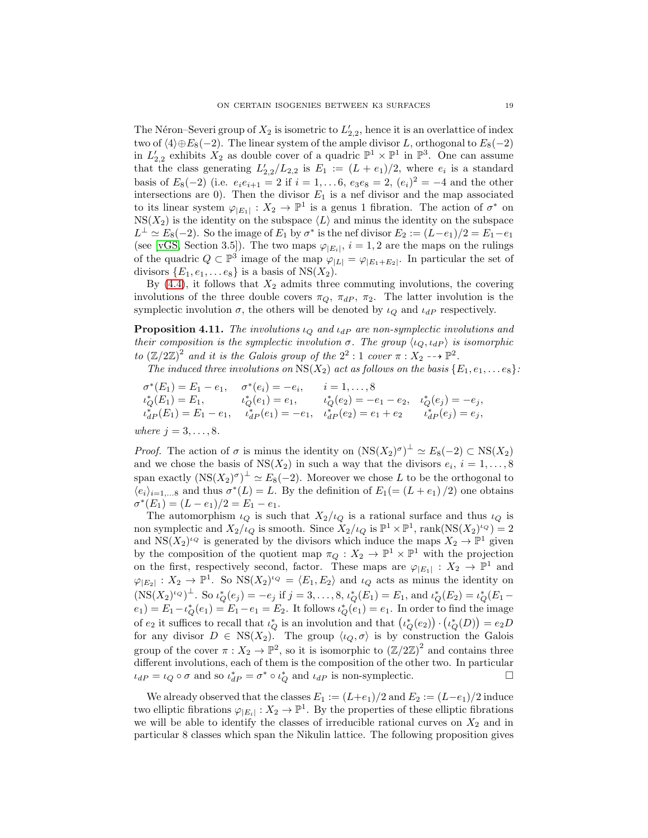The Néron–Severi group of  $X_2$  is isometric to  $L'_{2,2}$ , hence it is an overlattice of index two of  $\langle 4 \rangle \oplus E_8(-2)$ . The linear system of the ample divisor L, orthogonal to  $E_8(-2)$ in  $L'_{2,2}$  exhibits  $X_2$  as double cover of a quadric  $\mathbb{P}^1 \times \mathbb{P}^1$  in  $\mathbb{P}^3$ . One can assume that the class generating  $L'_{2,2}/L_{2,2}$  is  $E_1 := (L + e_1)/2$ , where  $e_i$  is a standard basis of  $E_8(-2)$  (i.e.  $e_i e_{i+1} = 2$  if  $i = 1, \ldots, 6$ ,  $e_3 e_8 = 2$ ,  $(e_i)^2 = -4$  and the other intersections are 0). Then the divisor  $E_1$  is a nef divisor and the map associated to its linear system  $\varphi_{|E_1|}: X_2 \to \mathbb{P}^1$  is a genus 1 fibration. The action of  $\sigma^*$  on  $NS(X_2)$  is the identity on the subspace  $\langle L \rangle$  and minus the identity on the subspace  $L^{\perp} \simeq E_8(-2)$ . So the image of  $E_1$  by  $\sigma^*$  is the nef divisor  $E_2 := (L-e_1)/2 = E_1 - e_1$ (see [\[vGS,](#page-27-2) Section 3.5]). The two maps  $\varphi_{|E_i|}$ ,  $i = 1, 2$  are the maps on the rulings of the quadric  $Q \subset \mathbb{P}^3$  image of the map  $\varphi_{|L|} = \varphi_{|E_1+E_2|}$ . In particular the set of divisors  $\{E_1, e_1, \ldots e_8\}$  is a basis of NS( $X_2$ ).

By  $(4.4)$ , it follows that  $X_2$  admits three commuting involutions, the covering involutions of the three double covers  $\pi_Q$ ,  $\pi_{dP}$ ,  $\pi_2$ . The latter involution is the symplectic involution  $\sigma$ , the others will be denoted by  $\iota_Q$  and  $\iota_{dP}$  respectively.

<span id="page-18-0"></span>**Proposition 4.11.** *The involutions*  $\iota_{Q}$  *and*  $\iota_{dP}$  *are non-symplectic involutions and their composition is the symplectic involution*  $\sigma$ *. The group*  $\langle \iota_Q, \iota_{dP} \rangle$  *is isomorphic to*  $(\mathbb{Z}/2\mathbb{Z})^2$  and *it is the Galois group of the*  $2^2$  : 1 *cover*  $\pi$  :  $X_2 \longrightarrow \mathbb{P}^2$ .

*The induced three involutions on*  $\overline{NS}(X_2)$  *act as follows on the basis*  $\{E_1, e_1, \ldots e_8\}$ :

$$
\sigma^*(E_1) = E_1 - e_1, \quad \sigma^*(e_i) = -e_i, \quad i = 1, ..., 8
$$
  
\n
$$
\iota_Q^*(E_1) = E_1, \quad \iota_Q^*(e_1) = e_1, \quad \iota_Q^*(e_2) = -e_1 - e_2, \quad \iota_Q^*(e_j) = -e_j,
$$
  
\n
$$
\iota_{dP}^*(E_1) = E_1 - e_1, \quad \iota_{dP}^*(e_1) = -e_1, \quad \iota_{dP}^*(e_2) = e_1 + e_2 \quad \iota_{dP}^*(e_j) = e_j,
$$
  
\nwhere  $j = 3, ..., 8$ .

*Proof.* The action of  $\sigma$  is minus the identity on  $(NS(X_2)^{\sigma})^{\perp} \simeq E_8(-2) \subset NS(X_2)$ and we chose the basis of  $NS(X_2)$  in such a way that the divisors  $e_i, i = 1, \ldots, 8$ span exactly  $(NS(X_2)^{\sigma})^{\perp} \simeq E_8(-2)$ . Moreover we chose L to be the orthogonal to  $\langle e_i \rangle_{i=1,...8}$  and thus  $\sigma^*(L) = L$ . By the definition of  $E_1 = (L + e_1)/2$  one obtains  $\sigma^*(E_1) = (L - e_1)/2 = E_1 - e_1.$ 

The automorphism  $\iota_Q$  is such that  $X_2/\iota_Q$  is a rational surface and thus  $\iota_Q$  is non symplectic and  $X_2/\iota_Q$  is smooth. Since  $X_2/\iota_Q$  is  $\mathbb{P}^1 \times \mathbb{P}^1$ , rank $(\text{NS}(X_2)^{i_Q}) = 2$ and  $NS(X_2)^{l_Q}$  is generated by the divisors which induce the maps  $X_2 \to \mathbb{P}^1$  given by the composition of the quotient map  $\pi_Q: X_2 \to \mathbb{P}^1 \times \mathbb{P}^1$  with the projection on the first, respectively second, factor. These maps are  $\varphi_{|E_1|}: X_2 \to \mathbb{P}^1$  and  $\varphi_{|E_2|}: X_2 \to \mathbb{P}^1$ . So  $\text{NS}(X_2)^{l_Q} = \langle E_1, E_2 \rangle$  and  $\iota_Q$  acts as minus the identity on  $(\text{NS}(X_2)^{l \cdot Q})^{\perp}$ . So  $\iota_Q^*(e_j) = -e_j$  if  $j = 3, ..., 8$ ,  $\iota_Q^*(E_1) = E_1$ , and  $\iota_Q^*(E_2) = \iota_Q^*(E_1 - E_2)$  $(e_1) = E_1 - \iota_Q^*(e_1) = E_1 - e_1 = E_2$ . It follows  $\iota_Q^*(e_1) = e_1$ . In order to find the image of  $e_2$  it suffices to recall that  $\iota_Q^*$  is an involution and that  $(\iota_Q^*(e_2)) \cdot (\iota_Q^*(D)) = e_2 D$ for any divisor  $D \in \text{NS}(X_2)$ . The group  $\langle \iota_Q, \sigma \rangle$  is by construction the Galois group of the cover  $\pi: X_2 \to \mathbb{P}^2$ , so it is isomorphic to  $(\mathbb{Z}/2\mathbb{Z})^2$  and contains three different involutions, each of them is the composition of the other two. In particular  $\iota_{dP} = \iota_Q \circ \sigma$  and so  $\iota_{dP}^* = \sigma^* \circ \iota_Q^*$  and  $\iota_{dP}$  is non-symplectic.

We already observed that the classes  $E_1 := (L+e_1)/2$  and  $E_2 := (L-e_1)/2$  induce two elliptic fibrations  $\varphi_{|E_i|}: X_2 \to \mathbb{P}^1$ . By the properties of these elliptic fibrations we will be able to identify the classes of irreducible rational curves on  $X_2$  and in particular 8 classes which span the Nikulin lattice. The following proposition gives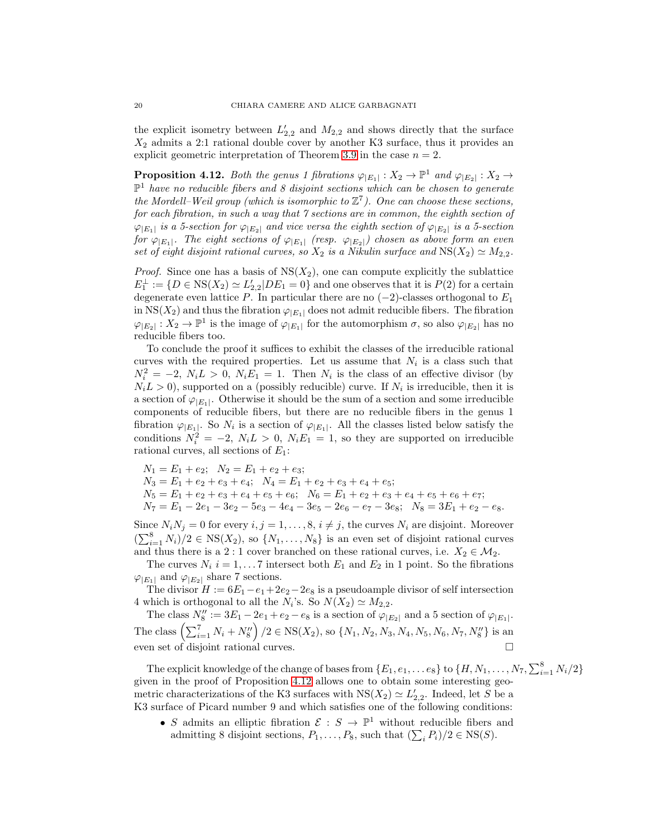the explicit isometry between  $L'_{2,2}$  and  $M_{2,2}$  and shows directly that the surface  $X_2$  admits a 2:1 rational double cover by another K3 surface, thus it provides an explicit geometric interpretation of Theorem [3.9](#page-9-0) in the case  $n = 2$ .

<span id="page-19-0"></span>**Proposition 4.12.** Both the genus 1 fibrations  $\varphi_{|E_1|}: X_2 \to \mathbb{P}^1$  and  $\varphi_{|E_2|}: X_2 \to \mathbb{P}^1$ P <sup>1</sup> *have no reducible fibers and 8 disjoint sections which can be chosen to generate* the Mordell–Weil group (which is isomorphic to  $\mathbb{Z}^7$ ). One can choose these sections, *for each fibration, in such a way that 7 sections are in common, the eighth section of*  $\varphi_{|E_1|}$  *is a 5-section for*  $\varphi_{|E_2|}$  *and vice versa the eighth section of*  $\varphi_{|E_2|}$  *is a 5-section for*  $\varphi_{|E_1|}$ . The eight sections of  $\varphi_{|E_1|}$  (resp.  $\varphi_{|E_2|}$ ) chosen as above form an even *set of eight disjoint rational curves, so*  $X_2$  *is a Nikulin surface and*  $NS(X_2) \simeq M_{2,2}$ *.* 

*Proof.* Since one has a basis of  $NS(X_2)$ , one can compute explicitly the sublattice  $E_1^{\perp} := \{ D \in \text{NS}(X_2) \simeq L'_{2,2} | DE_1 = 0 \}$  and one observes that it is  $P(2)$  for a certain degenerate even lattice P. In particular there are no  $(-2)$ -classes orthogonal to  $E_1$ in NS( $X_2$ ) and thus the fibration  $\varphi_{|E_1|}$  does not admit reducible fibers. The fibration  $\varphi_{|E_2|}: X_2 \to \mathbb{P}^1$  is the image of  $\varphi_{|E_1|}$  for the automorphism  $\sigma$ , so also  $\varphi_{|E_2|}$  has no reducible fibers too.

To conclude the proof it suffices to exhibit the classes of the irreducible rational curves with the required properties. Let us assume that  $N_i$  is a class such that  $N_i^2 = -2$ ,  $N_i L > 0$ ,  $N_i E_1 = 1$ . Then  $N_i$  is the class of an effective divisor (by  $N_i L > 0$ ), supported on a (possibly reducible) curve. If  $N_i$  is irreducible, then it is a section of  $\varphi_{|E_1|}$ . Otherwise it should be the sum of a section and some irreducible components of reducible fibers, but there are no reducible fibers in the genus 1 fibration  $\varphi_{|E_1|}$ . So  $N_i$  is a section of  $\varphi_{|E_1|}$ . All the classes listed below satisfy the conditions  $N_i^2 = -2$ ,  $N_i L > 0$ ,  $N_i E_1 = 1$ , so they are supported on irreducible rational curves, all sections of  $E_1$ :

$$
N_1 = E_1 + e_2; N_2 = E_1 + e_2 + e_3;
$$
  
\n
$$
N_3 = E_1 + e_2 + e_3 + e_4; N_4 = E_1 + e_2 + e_3 + e_4 + e_5;
$$
  
\n
$$
N_5 = E_1 + e_2 + e_3 + e_4 + e_5 + e_6; N_6 = E_1 + e_2 + e_3 + e_4 + e_5 + e_6 + e_7;
$$
  
\n
$$
N_7 = E_1 - 2e_1 - 3e_2 - 5e_3 - 4e_4 - 3e_5 - 2e_6 - e_7 - 3e_8; N_8 = 3E_1 + e_2 - e_8.
$$

Since  $N_iN_j = 0$  for every  $i, j = 1, ..., 8, i \neq j$ , the curves  $N_i$  are disjoint. Moreover  $(\sum_{i=1}^8 N_i)/2 \in \text{NS}(X_2)$ , so  $\{N_1, \ldots, N_8\}$  is an even set of disjoint rational curves and thus there is a 2 : 1 cover branched on these rational curves, i.e.  $X_2 \in \mathcal{M}_2$ .

The curves  $N_i$  i = 1,...7 intersect both  $E_1$  and  $E_2$  in 1 point. So the fibrations  $\varphi_{|E_1|}$  and  $\varphi_{|E_2|}$  share 7 sections.

The divisor  $H := 6E_1 - e_1 + 2e_2 - 2e_8$  is a pseudoample divisor of self intersection 4 which is orthogonal to all the  $N_i$ 's. So  $N(X_2) \simeq M_{2,2}$ .

The class  $N_8'' := 3E_1 - 2e_1 + e_2 - e_8$  is a section of  $\varphi_{|E_2|}$  and a 5 section of  $\varphi_{|E_1|}$ . The class  $\left(\sum_{i=1}^7 N_i + N_8''\right)/2 \in \text{NS}(X_2)$ , so  $\{N_1, N_2, N_3, N_4, N_5, N_6, N_7, N_8''\}$  is an even set of disjoint rational curves.

The explicit knowledge of the change of bases from  $\{E_1,e_1,\ldots e_8\}$  to  $\{H,N_1,\ldots,N_7,\sum_{i=1}^8 N_i/2\}$ given in the proof of Proposition [4.12](#page-19-0) allows one to obtain some interesting geometric characterizations of the K3 surfaces with  $NS(X_2) \simeq L'_{2,2}$ . Indeed, let S be a K3 surface of Picard number 9 and which satisfies one of the following conditions:

• S admits an elliptic fibration  $\mathcal{E}: S \to \mathbb{P}^1$  without reducible fibers and admitting 8 disjoint sections,  $P_1, \ldots, P_8$ , such that  $(\sum_i P_i)/2 \in \text{NS}(S)$ .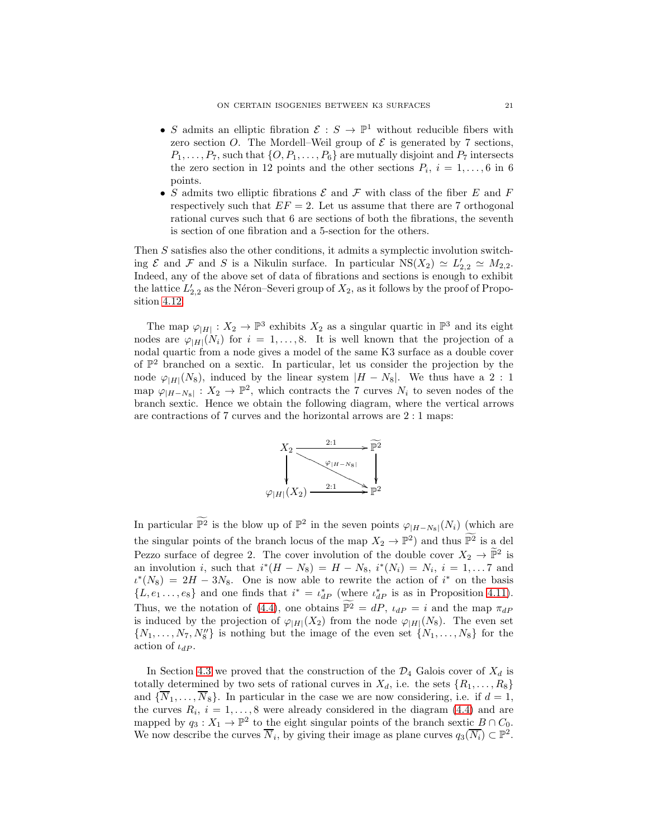- S admits an elliptic fibration  $\mathcal{E}: S \to \mathbb{P}^1$  without reducible fibers with zero section O. The Mordell–Weil group of  $\mathcal E$  is generated by 7 sections,  $P_1, \ldots, P_7$ , such that  $\{O, P_1, \ldots, P_6\}$  are mutually disjoint and  $P_7$  intersects the zero section in 12 points and the other sections  $P_i$ ,  $i = 1, \ldots, 6$  in 6 points.
- $\bullet$   $S$  admits two elliptic fibrations  ${\mathcal E}$  and  ${\mathcal F}$  with class of the fiber  $E$  and  $F$ respectively such that  $EF = 2$ . Let us assume that there are 7 orthogonal rational curves such that 6 are sections of both the fibrations, the seventh is section of one fibration and a 5-section for the others.

Then S satisfies also the other conditions, it admits a symplectic involution switching  $\mathcal E$  and  $\mathcal F$  and  $S$  is a Nikulin surface. In particular  $NS(X_2) \simeq L'_{2,2} \simeq M_{2,2}$ . Indeed, any of the above set of data of fibrations and sections is enough to exhibit the lattice  $L'_{2,2}$  as the Néron–Severi group of  $X_2$ , as it follows by the proof of Proposition [4.12.](#page-19-0)

The map  $\varphi_{|H|}: X_2 \to \mathbb{P}^3$  exhibits  $X_2$  as a singular quartic in  $\mathbb{P}^3$  and its eight nodes are  $\varphi_{|H|}(N_i)$  for  $i = 1, \ldots, 8$ . It is well known that the projection of a nodal quartic from a node gives a model of the same K3 surface as a double cover of  $\mathbb{P}^2$  branched on a sextic. In particular, let us consider the projection by the node  $\varphi_{|H|}(N_8)$ , induced by the linear system  $|H - N_8|$ . We thus have a 2 : 1 map  $\varphi_{|H-N_8|}: X_2 \to \mathbb{P}^2$ , which contracts the 7 curves  $N_i$  to seven nodes of the branch sextic. Hence we obtain the following diagram, where the vertical arrows are contractions of 7 curves and the horizontal arrows are 2 : 1 maps:



In particular  $\mathbb{P}^2$  is the blow up of  $\mathbb{P}^2$  in the seven points  $\varphi_{|H-N_8|}(N_i)$  (which are the singular points of the branch locus of the map  $X_2 \to \mathbb{P}^2$  and thus  $\mathbb{P}^2$  is a del Pezzo surface of degree 2. The cover involution of the double cover  $X_2 \to \mathbb{P}^2$  is an involution *i*, such that  $i^*(H - N_8) = H - N_8$ ,  $i^*(N_i) = N_i$ ,  $i = 1, \ldots 7$  and  $\iota^{*}(N_8) = 2H - 3N_8$ . One is now able to rewrite the action of  $i^{*}$  on the basis  $\{L, e_1 \ldots, e_8\}$  and one finds that  $i^* = \iota_{dP}^*$  (where  $\iota_{dP}^*$  is as in Proposition [4.11\)](#page-18-0). Thus, we the notation of [\(4.4\)](#page-17-1), one obtains  $\mathbb{P}^2 = dP$ ,  $\iota_{dP} = i$  and the map  $\pi_{dP}$ is induced by the projection of  $\varphi_{|H|}(X_2)$  from the node  $\varphi_{|H|}(N_8)$ . The even set  $\{N_1, \ldots, N_7, N_8''\}$  is nothing but the image of the even set  $\{N_1, \ldots, N_8\}$  for the action of  $\iota_{dP}$ .

In Section [4.3](#page-14-0) we proved that the construction of the  $\mathcal{D}_4$  Galois cover of  $X_d$  is totally determined by two sets of rational curves in  $X_d$ , i.e. the sets  $\{R_1, \ldots, R_8\}$ and  $\{\overline{N}_1,\ldots,\overline{N}_8\}$ . In particular in the case we are now considering, i.e. if  $d=1$ , the curves  $R_i$ ,  $i = 1, ..., 8$  were already considered in the diagram [\(4.4\)](#page-17-1) and are mapped by  $q_3: X_1 \to \mathbb{P}^2$  to the eight singular points of the branch sextic  $B \cap C_0$ . We now describe the curves  $\overline{N}_i$ , by giving their image as plane curves  $q_3(\overline{N}_i) \subset \mathbb{P}^2$ .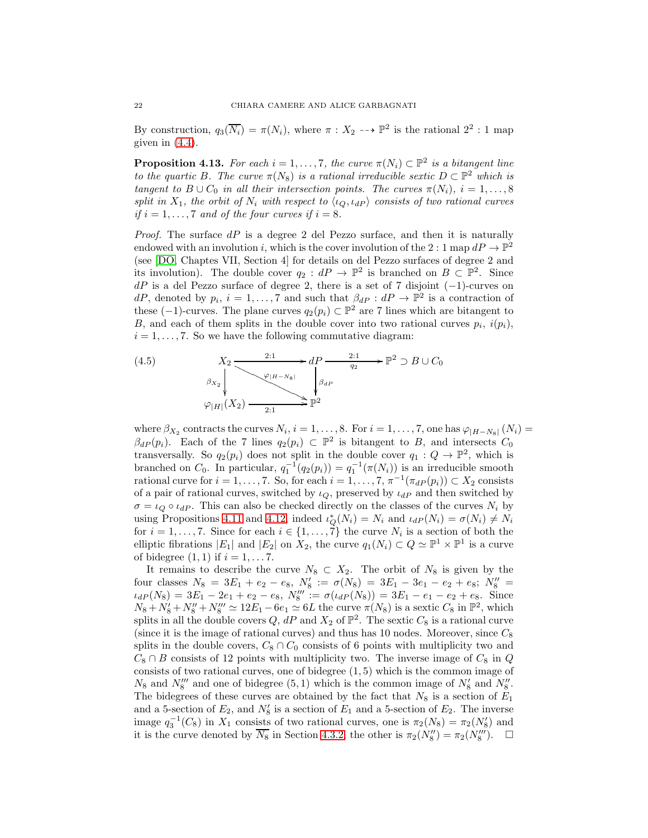By construction,  $q_3(\overline{N_i}) = \pi(N_i)$ , where  $\pi : X_2 \dashrightarrow \mathbb{P}^2$  is the rational  $2^2 : 1$  map given in  $(4.4)$ .

<span id="page-21-0"></span>**Proposition 4.13.** For each  $i = 1, ..., 7$ , the curve  $\pi(N_i) \subset \mathbb{P}^2$  is a bitangent line *to the quartic B. The curve*  $\pi(N_8)$  *is a rational irreducible sextic*  $D \subset \mathbb{P}^2$  *which is tangent to*  $B \cup C_0$  *in all their intersection points. The curves*  $\pi(N_i)$ ,  $i = 1, \ldots, 8$ *split in*  $X_1$ *, the orbit of*  $N_i$  *with respect to*  $\langle \iota_Q, \iota_{dP} \rangle$  *consists of two rational curves if*  $i = 1, \ldots, 7$  *and of the four curves if*  $i = 8$ *.* 

*Proof.* The surface dP is a degree 2 del Pezzo surface, and then it is naturally endowed with an involution i, which is the cover involution of the 2 : 1 map  $dP \to \mathbb{P}^2$ (see [\[DO,](#page-26-5) Chaptes VII, Section 4] for details on del Pezzo surfaces of degree 2 and its involution). The double cover  $q_2: dP \to \mathbb{P}^2$  is branched on  $B \subset \mathbb{P}^2$ . Since  $dP$  is a del Pezzo surface of degree 2, there is a set of 7 disjoint  $(-1)$ -curves on dP, denoted by  $p_i$ ,  $i = 1, ..., 7$  and such that  $\beta_{dP} : dP \to \mathbb{P}^2$  is a contraction of these (-1)-curves. The plane curves  $q_2(p_i) \subset \mathbb{P}^2$  are 7 lines which are bitangent to B, and each of them splits in the double cover into two rational curves  $p_i$ ,  $i(p_i)$ ,  $i = 1, \ldots, 7$ . So we have the following commutative diagram:

<span id="page-21-1"></span>(4.5) 
$$
X_2 \xrightarrow{\qquad \qquad 2:1 \qquad \qquad \downarrow} dP \xrightarrow{\qquad \qquad 2:1 \qquad \qquad \downarrow} \mathbb{P}^2 \supset B \cup C_0
$$

$$
\beta_{X_2} \downarrow \qquad \qquad \downarrow \beta_{dP}
$$

$$
\varphi_{|H|}(X_2) \xrightarrow{\qquad \qquad \downarrow} \mathbb{P}^2
$$

where  $\beta_{X_2}$  contracts the curves  $N_i$ ,  $i = 1, ..., 8$ . For  $i = 1, ..., 7$ , one has  $\varphi_{|H-N_8|}(N_i) =$  $\beta_{dP}(p_i)$ . Each of the 7 lines  $q_2(p_i) \subset \mathbb{P}^2$  is bitangent to B, and intersects  $C_0$ transversally. So  $q_2(p_i)$  does not split in the double cover  $q_1: Q \to \mathbb{P}^2$ , which is branched on  $C_0$ . In particular,  $q_1^{-1}(q_2(p_i)) = q_1^{-1}(\pi(N_i))$  is an irreducible smooth rational curve for  $i = 1, ..., 7$ . So, for each  $i = 1, ..., 7, \pi^{-1}(\pi_{dP}(p_i)) \subset X_2$  consists of a pair of rational curves, switched by  $\iota_Q$ , preserved by  $\iota_{dP}$  and then switched by  $\sigma = \iota_Q \circ \iota_{dP}$ . This can also be checked directly on the classes of the curves  $N_i$  by using Propositions [4.11](#page-18-0) and [4.12,](#page-19-0) indeed  $\iota_Q^*(N_i) = N_i$  and  $\iota_{dP}(N_i) = \sigma(N_i) \neq N_i$ for  $i = 1, \ldots, 7$ . Since for each  $i \in \{1, \ldots, 7\}$  the curve  $N_i$  is a section of both the elliptic fibrations  $|E_1|$  and  $|E_2|$  on  $X_2$ , the curve  $q_1(N_i) \subset Q \simeq \mathbb{P}^1 \times \mathbb{P}^1$  is a curve of bidegree  $(1, 1)$  if  $i = 1, \ldots 7$ .

It remains to describe the curve  $N_8 \subset X_2$ . The orbit of  $N_8$  is given by the four classes  $N_8 = 3E_1 + e_2 - e_8$ ,  $N'_8 := \sigma(N_8) = 3E_1 - 3e_1 - e_2 + e_8$ ;  $N''_8 =$  $\iota_{dP}(N_8) = 3E_1 - 2e_1 + e_2 - e_8$ ,  $N_8''' := \sigma(\iota_{dP}(N_8)) = 3E_1 - e_1 - e_2 + e_8$ . Since  $N_8 + N'_8 + N''_8 + N'''_8 \simeq 12E_1 - 6e_1 \simeq 6L$  the curve  $\pi(N_8)$  is a sextic  $C_8$  in  $\mathbb{P}^2$ , which splits in all the double covers Q,  $dP$  and  $X_2$  of  $\mathbb{P}^2$ . The sextic  $C_8$  is a rational curve (since it is the image of rational curves) and thus has 10 nodes. Moreover, since  $C_8$ splits in the double covers,  $C_8 \cap C_0$  consists of 6 points with multiplicity two and  $C_8 \cap B$  consists of 12 points with multiplicity two. The inverse image of  $C_8$  in Q consists of two rational curves, one of bidegree (1, 5) which is the common image of  $N_8$  and  $N_8'''$  and one of bidegree (5, 1) which is the common image of  $N'_8$  and  $N_8''$ . The bidegrees of these curves are obtained by the fact that  $N_8$  is a section of  $E_1$ and a 5-section of  $E_2$ , and  $N'_8$  is a section of  $E_1$  and a 5-section of  $E_2$ . The inverse image  $q_3^{-1}(C_8)$  in  $X_1$  consists of two rational curves, one is  $\pi_2(N_8) = \pi_2(N'_8)$  and it is the curve denoted by  $\overline{N_8}$  in Section [4.3.2,](#page-16-0) the other is  $\pi_2(N''_8) = \pi_2(N'''_8)$ .  $\Box$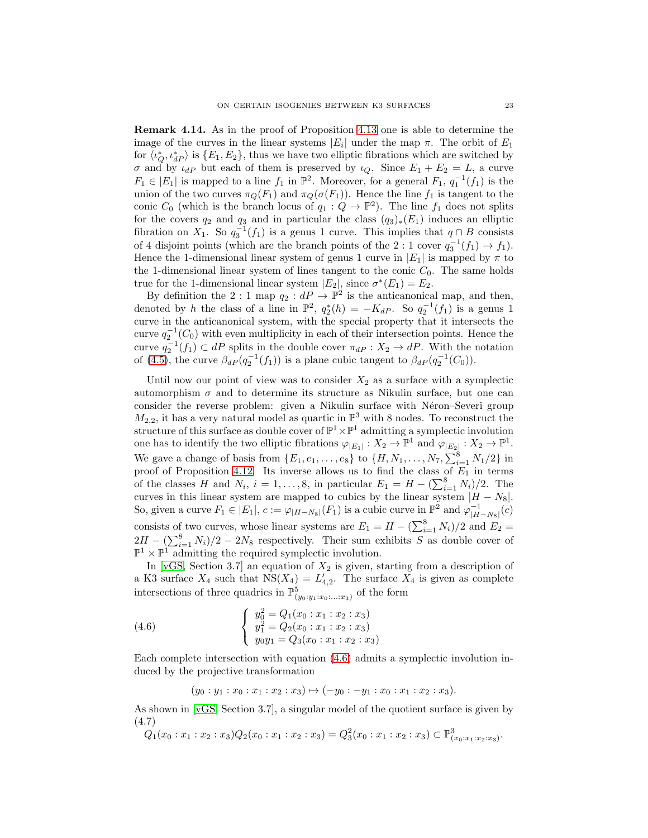Remark 4.14. As in the proof of Proposition [4.13](#page-21-0) one is able to determine the image of the curves in the linear systems  $|E_i|$  under the map  $\pi$ . The orbit of  $E_1$ for  $\langle \iota_Q^*, \iota_{dP}^* \rangle$  is  $\{E_1, E_2\}$ , thus we have two elliptic fibrations which are switched by  $\sigma$  and by  $\iota_{dP}$  but each of them is preserved by  $\iota_{Q}$ . Since  $E_1 + E_2 = L$ , a curve  $F_1 \in |E_1|$  is mapped to a line  $f_1$  in  $\mathbb{P}^2$ . Moreover, for a general  $F_1$ ,  $q_1^{-1}(f_1)$  is the union of the two curves  $\pi_Q(F_1)$  and  $\pi_Q(\sigma(F_1))$ . Hence the line  $f_1$  is tangent to the conic  $C_0$  (which is the branch locus of  $q_1: Q \to \mathbb{P}^2$ ). The line  $f_1$  does not splits for the covers  $q_2$  and  $q_3$  and in particular the class  $(q_3)_*(E_1)$  induces an elliptic fibration on  $X_1$ . So  $q_3^{-1}(f_1)$  is a genus 1 curve. This implies that  $q \cap B$  consists of 4 disjoint points (which are the branch points of the 2 : 1 cover  $q_3^{-1}(f_1) \to f_1$ ). Hence the 1-dimensional linear system of genus 1 curve in  $|E_1|$  is mapped by  $\pi$  to the 1-dimensional linear system of lines tangent to the conic  $C_0$ . The same holds true for the 1-dimensional linear system  $|E_2|$ , since  $\sigma^*(E_1) = E_2$ .

By definition the 2 : 1 map  $q_2: dP \to \mathbb{P}^2$  is the anticanonical map, and then, denoted by h the class of a line in  $\mathbb{P}^2$ ,  $q_2^*(h) = -K_dP$ . So  $q_2^{-1}(f_1)$  is a genus 1 curve in the anticanonical system, with the special property that it intersects the curve  $q_2^{-1}(C_0)$  with even multiplicity in each of their intersection points. Hence the curve  $q_2^{-1}(f_1) \subset dP$  splits in the double cover  $\pi_{dP} : X_2 \to dP$ . With the notation of [\(4.5\)](#page-21-1), the curve  $\beta_{dP}(q_2^{-1}(f_1))$  is a plane cubic tangent to  $\beta_{dP}(q_2^{-1}(C_0))$ .

Until now our point of view was to consider  $X_2$  as a surface with a symplectic automorphism  $\sigma$  and to determine its structure as Nikulin surface, but one can consider the reverse problem: given a Nikulin surface with Néron–Severi group  $M_{2,2}$ , it has a very natural model as quartic in  $\mathbb{P}^3$  with 8 nodes. To reconstruct the structure of this surface as double cover of  $\mathbb{P}^1 \times \mathbb{P}^1$  admitting a symplectic involution one has to identify the two elliptic fibrations  $\varphi_{|E_1|}: X_2 \to \mathbb{P}^1$  and  $\varphi_{|E_2|}: X_2 \to \mathbb{P}^1$ . We gave a change of basis from  $\{E_1, e_1, \ldots, e_8\}$  to  $\{H, N_1, \ldots, N_7, \sum_{i=1}^8 N_1/2\}$  in proof of Proposition [4.12.](#page-19-0) Its inverse allows us to find the class of  $E_1$  in terms of the classes H and  $N_i$ ,  $i = 1, ..., 8$ , in particular  $E_1 = H - \left(\sum_{i=1}^{8} N_i\right)/2$ . The curves in this linear system are mapped to cubics by the linear system  $|H - N_8|$ . So, given a curve  $F_1 \in |E_1|$ ,  $c := \varphi_{|H-N_8|}(F_1)$  is a cubic curve in  $\mathbb{P}^2$  and  $\varphi_{|H-N_8|}^{-1}(c)$ consists of two curves, whose linear systems are  $E_1 = H - \left(\sum_{i=1}^8 N_i\right)/2$  and  $E_2 =$  $2H - (\sum_{i=1}^{8} N_i)/2 - 2N_8$  respectively. Their sum exhibits S as double cover of  $\mathbb{P}^1 \times \mathbb{P}^1$  admitting the required symplectic involution.

In [\[vGS,](#page-27-2) Section 3.7] an equation of  $X_2$  is given, starting from a description of a K3 surface  $X_4$  such that  $NS(X_4) = L'_{4,2}$ . The surface  $X_4$  is given as complete intersections of three quadrics in  $\mathbb{P}^5_{(y_0:y_1:x_0:\ldots:x_3)}$  of the form

(4.6) 
$$
\begin{cases} y_0^2 = Q_1(x_0 : x_1 : x_2 : x_3) \\ y_1^2 = Q_2(x_0 : x_1 : x_2 : x_3) \\ y_0 y_1 = Q_3(x_0 : x_1 : x_2 : x_3) \end{cases}
$$

Each complete intersection with equation [\(4.6\)](#page-22-0) admits a symplectic involution induced by the projective transformation

<span id="page-22-0"></span> $(y_0 : y_1 : x_0 : x_1 : x_2 : x_3) \mapsto (-y_0 : -y_1 : x_0 : x_1 : x_2 : x_3).$ 

As shown in [\[vGS,](#page-27-2) Section 3.7], a singular model of the quotient surface is given by (4.7)

<span id="page-22-1"></span>
$$
Q_1(x_0:x_1:x_2:x_3)Q_2(x_0:x_1:x_2:x_3)=Q_3^2(x_0:x_1:x_2:x_3)\subset \mathbb{P}^3_{(x_0:x_1:x_2:x_3)}.
$$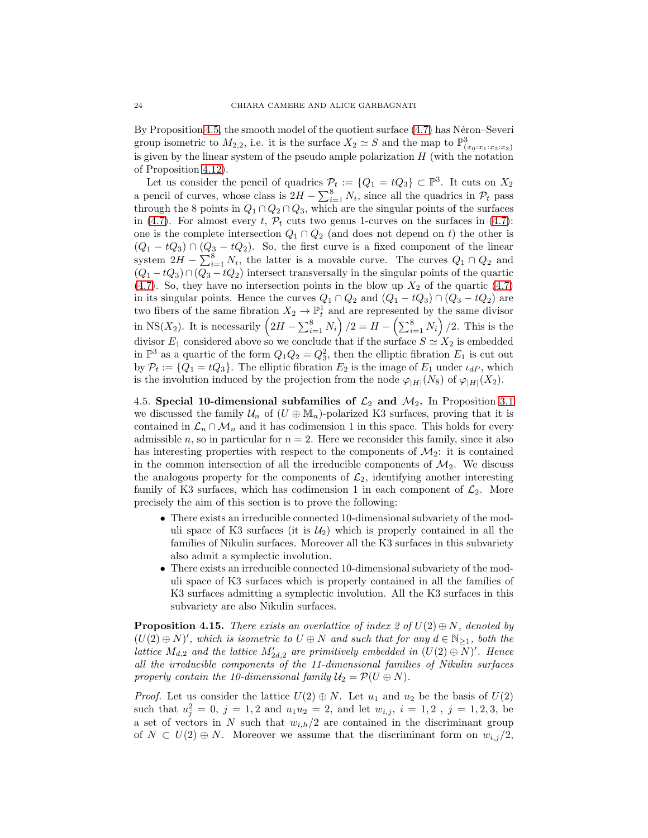By Proposition [4.5,](#page-12-2) the smooth model of the quotient surface  $(4.7)$  has Néron–Severi group isometric to  $M_{2,2}$ , i.e. it is the surface  $X_2 \simeq S$  and the map to  $\mathbb{P}^3_{(x_0:x_1:x_2:x_3)}$ is given by the linear system of the pseudo ample polarization  $H$  (with the notation of Proposition [4.12\)](#page-19-0).

Let us consider the pencil of quadrics  $\mathcal{P}_t := \{Q_1 = tQ_3\} \subset \mathbb{P}^3$ . It cuts on  $X_2$ a pencil of curves, whose class is  $2H - \sum_{i=1}^{8} N_i$ , since all the quadrics in  $\mathcal{P}_t$  pass through the 8 points in  $Q_1 \cap Q_2 \cap Q_3$ , which are the singular points of the surfaces in [\(4.7\)](#page-22-1). For almost every t,  $\mathcal{P}_t$  cuts two genus 1-curves on the surfaces in (4.7): one is the complete intersection  $Q_1 \cap Q_2$  (and does not depend on t) the other is  $(Q_1 - tQ_3) \cap (Q_3 - tQ_2)$ . So, the first curve is a fixed component of the linear system  $2H - \sum_{i=1}^{8} N_i$ , the latter is a movable curve. The curves  $Q_1 \cap Q_2$  and  $(Q_1 - tQ_3) \cap (Q_3 - tQ_2)$  intersect transversally in the singular points of the quartic [\(4.7\)](#page-22-1). So, they have no intersection points in the blow up  $X_2$  of the quartic [\(4.7\)](#page-22-1) in its singular points. Hence the curves  $Q_1 \cap Q_2$  and  $(Q_1 - tQ_3) \cap (Q_3 - tQ_2)$  are two fibers of the same fibration  $X_2 \to \mathbb{P}^1_t$  and are represented by the same divisor in NS(X<sub>2</sub>). It is necessarily  $(2H - \sum_{i=1}^{8} N_i)/2 = H - (\sum_{i=1}^{8} N_i)/2$ . This is the divisor  $E_1$  considered above so we conclude that if the surface  $S \simeq X_2$  is embedded in  $\mathbb{P}^3$  as a quartic of the form  $Q_1Q_2=Q_3^2$ , then the elliptic fibration  $E_1$  is cut out by  $P_t := \{Q_1 = tQ_3\}$ . The elliptic fibration  $E_2$  is the image of  $E_1$  under  $\iota_{dP}$ , which is the involution induced by the projection from the node  $\varphi_{|H|}(N_8)$  of  $\varphi_{|H|}(X_2)$ .

<span id="page-23-0"></span>4.5. Special 10-dimensional subfamilies of  $\mathcal{L}_2$  and  $\mathcal{M}_2$ . In Proposition [3.1](#page-6-4) we discussed the family  $\mathcal{U}_n$  of  $(U \oplus M_n)$ -polarized K3 surfaces, proving that it is contained in  $\mathcal{L}_n \cap \mathcal{M}_n$  and it has codimension 1 in this space. This holds for every admissible n, so in particular for  $n = 2$ . Here we reconsider this family, since it also has interesting properties with respect to the components of  $\mathcal{M}_2$ : it is contained in the common intersection of all the irreducible components of  $\mathcal{M}_2$ . We discuss the analogous property for the components of  $\mathcal{L}_2$ , identifying another interesting family of K3 surfaces, which has codimension 1 in each component of  $\mathcal{L}_2$ . More precisely the aim of this section is to prove the following:

- There exists an irreducible connected 10-dimensional subvariety of the moduli space of K3 surfaces (it is  $\mathcal{U}_2$ ) which is properly contained in all the families of Nikulin surfaces. Moreover all the K3 surfaces in this subvariety also admit a symplectic involution.
- There exists an irreducible connected 10-dimensional subvariety of the moduli space of K3 surfaces which is properly contained in all the families of K3 surfaces admitting a symplectic involution. All the K3 surfaces in this subvariety are also Nikulin surfaces.

<span id="page-23-1"></span>**Proposition 4.15.** *There exists an overlattice of index 2 of*  $U(2) \oplus N$ *, denoted by*  $(U(2) \oplus N)'$ , which is isometric to  $U \oplus N$  and such that for any  $d \in \mathbb{N}_{\geq 1}$ , both the *lattice*  $M_{d,2}$  and the lattice  $M'_{2d,2}$  are primitively embedded in  $(U(2) \oplus N)'$ . Hence *all the irreducible components of the 11-dimensional families of Nikulin surfaces properly contain the 10-dimensional family*  $U_2 = P(U \oplus N)$ *.* 

*Proof.* Let us consider the lattice  $U(2) \oplus N$ . Let  $u_1$  and  $u_2$  be the basis of  $U(2)$ such that  $u_j^2 = 0, j = 1, 2$  and  $u_1 u_2 = 2$ , and let  $w_{i,j}, i = 1, 2, j = 1, 2, 3$ , be a set of vectors in N such that  $w_{i,h}/2$  are contained in the discriminant group of  $N \subset U(2) \oplus N$ . Moreover we assume that the discriminant form on  $w_{i,j}/2$ ,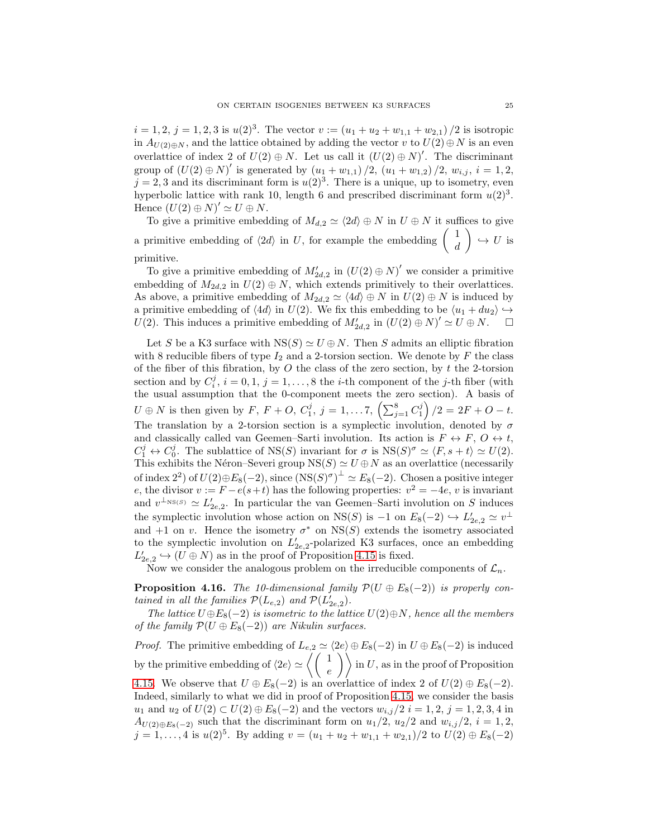$i = 1, 2, j = 1, 2, 3$  is  $u(2)^3$ . The vector  $v := (u_1 + u_2 + w_{1,1} + w_{2,1})/2$  is isotropic in  $A_{U(2) \oplus N}$ , and the lattice obtained by adding the vector v to  $U(2) \oplus N$  is an even overlattice of index 2 of  $U(2) \oplus N$ . Let us call it  $(U(2) \oplus N)'$ . The discriminant group of  $(U(2) \oplus N)'$  is generated by  $(u_1 + w_{1,1})/2$ ,  $(u_1 + w_{1,2})/2$ ,  $w_{i,j}$ ,  $i = 1, 2$ ,  $j = 2, 3$  and its discriminant form is  $u(2)<sup>3</sup>$ . There is a unique, up to isometry, even hyperbolic lattice with rank 10, length 6 and prescribed discriminant form  $u(2)^3$ . Hence  $(U(2) \oplus N)' \simeq U \oplus N$ .

To give a primitive embedding of  $M_{d,2} \simeq \langle 2d \rangle \oplus N$  in  $U \oplus N$  it suffices to give a primitive embedding of  $\langle 2d \rangle$  in U, for example the embedding  $\begin{pmatrix} 1 \\ J \end{pmatrix}$ d  $\setminus$  $\hookrightarrow U$  is primitive.

To give a primitive embedding of  $M'_{2d,2}$  in  $(U(2) \oplus N)'$  we consider a primitive embedding of  $M_{2d,2}$  in  $U(2) \oplus N$ , which extends primitively to their overlattices. As above, a primitive embedding of  $M_{2d,2} \simeq \langle 4d \rangle \oplus N$  in  $U(2) \oplus N$  is induced by a primitive embedding of  $\langle 4d \rangle$  in  $U(2)$ . We fix this embedding to be  $\langle u_1 + du_2 \rangle \hookrightarrow$  $U(2)$ . This induces a primitive embedding of  $M'_{2d,2}$  in  $(U(2) \oplus N)' \simeq U \oplus N$ .

Let S be a K3 surface with  $NS(S) \simeq U \oplus N$ . Then S admits an elliptic fibration with 8 reducible fibers of type  $I_2$  and a 2-torsion section. We denote by F the class of the fiber of this fibration, by  $O$  the class of the zero section, by  $t$  the 2-torsion section and by  $C_i^j$ ,  $i = 0, 1, j = 1, ..., 8$  the *i*-th component of the *j*-th fiber (with the usual assumption that the 0-component meets the zero section). A basis of  $U \oplus N$  is then given by  $F, F + O, C_1^j, j = 1, ..., 7, (\sum_{j=1}^8 C_1^j)/2 = 2F + O - t.$ The translation by a 2-torsion section is a symplectic involution, denoted by  $\sigma$ and classically called van Geemen–Sarti involution. Its action is  $F \leftrightarrow F$ ,  $O \leftrightarrow t$ ,  $C_1^j \leftrightarrow C_0^j$ . The sublattice of NS(S) invariant for  $\sigma$  is NS(S)<sup> $\sigma \simeq \langle F, s+t \rangle \simeq U(2)$ .</sup> This exhibits the Néron–Severi group  $NS(S) \simeq U \oplus N$  as an overlattice (necessarily of index 2<sup>2</sup>) of  $U(2) \oplus E_8(-2)$ , since  $(NS(S)^{\sigma})^{\perp} \simeq E_8(-2)$ . Chosen a positive integer e, the divisor  $v := F - e(s+t)$  has the following properties:  $v^2 = -4e$ , v is invariant and  $v^{\perp_{\text{NS}(S)}} \simeq L'_{2e,2}$ . In particular the van Geemen–Sarti involution on S induces the symplectic involution whose action on NS(S) is  $-1$  on  $E_8(-2) \hookrightarrow L'_{2e,2} \simeq v^{\perp}$ and  $+1$  on v. Hence the isometry  $\sigma^*$  on NS(S) extends the isometry associated to the symplectic involution on  $L'_{2e,2}$ -polarized K3 surfaces, once an embedding  $L'_{2e,2} \hookrightarrow (U \oplus N)$  as in the proof of Proposition [4.15](#page-23-1) is fixed.

Now we consider the analogous problem on the irreducible components of  $\mathcal{L}_n$ .

<span id="page-24-0"></span>**Proposition 4.16.** *The 10-dimensional family*  $\mathcal{P}(U \oplus E_8(-2))$  *is properly contained in all the families*  $\mathcal{P}(L_{e,2})$  *and*  $\mathcal{P}(L'_{2e,2})$ *.* 

*The lattice*  $U \oplus E_8(-2)$  *is isometric to the lattice*  $U(2) \oplus N$ *, hence all the members of the family*  $\mathcal{P}(U \oplus E_8(-2))$  *are Nikulin surfaces.* 

*Proof.* The primitive embedding of  $L_{e,2} \simeq \langle 2e \rangle \oplus E_8(-2)$  in  $U \oplus E_8(-2)$  is induced by the primitive embedding of  $\langle 2e \rangle \simeq \left\langle \begin{pmatrix} 1 \\ e \end{pmatrix} \right\rangle$  in U, as in the proof of Proposition [4.15.](#page-23-1) We observe that  $U \oplus E_8(-2)$  is an overlattice of index 2 of  $U(2) \oplus E_8(-2)$ . Indeed, similarly to what we did in proof of Proposition [4.15,](#page-23-1) we consider the basis *u*<sub>1</sub> and *u*<sub>2</sub> of *U*(2) ⊂ *U*(2) ⊕ *E*<sub>8</sub>(−2) and the vectors  $w_{i,j}/2$  *i* = 1, 2, *j* = 1, 2, 3, 4 in  $A_{U(2) \oplus E_8(-2)}$  such that the discriminant form on  $u_1/2$ ,  $u_2/2$  and  $w_{i,j}/2$ ,  $i = 1, 2$ ,  $j = 1, ..., 4$  is  $u(2)^5$ . By adding  $v = (u_1 + u_2 + w_{1,1} + w_{2,1})/2$  to  $U(2) \oplus E_8(-2)$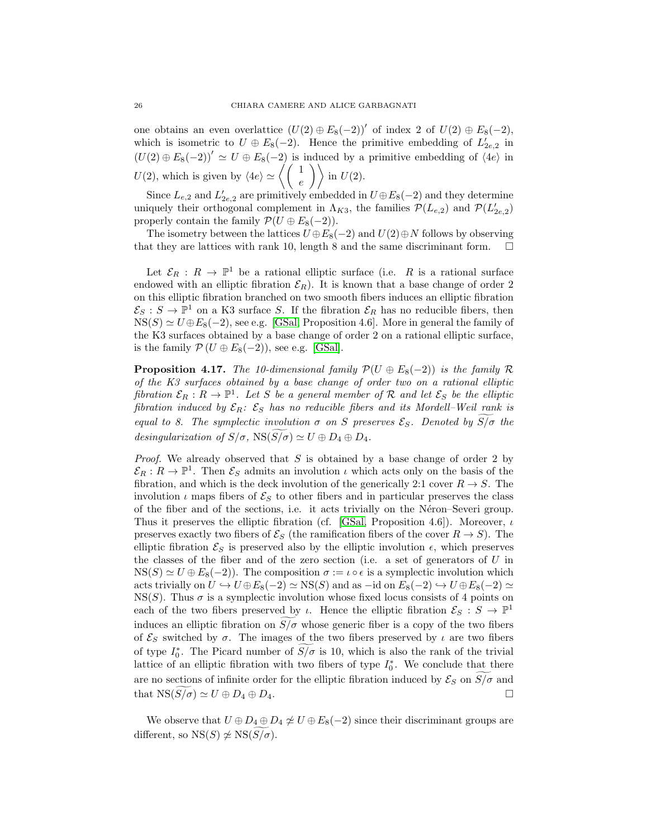one obtains an even overlattice  $(U(2) \oplus E_8(-2))'$  of index 2 of  $U(2) \oplus E_8(-2)$ , which is isometric to  $U \oplus E_8(-2)$ . Hence the primitive embedding of  $L'_{2e,2}$  in  $(U(2) \oplus E_8(-2))' \simeq U \oplus E_8(-2)$  is induced by a primitive embedding of  $\langle 4e \rangle$  in  $U(2)$ , which is given by  $\langle 4e \rangle \simeq \left\langle \left( \begin{array}{c} 1 \\ e \end{array} \right) \right\rangle$  in  $U(2)$ .

Since  $L_{e,2}$  and  $L'_{2e,2}$  are primitively embedded in  $U \oplus E_8(-2)$  and they determine uniquely their orthogonal complement in  $\Lambda_{K3}$ , the families  $\mathcal{P}(L_{e,2})$  and  $\mathcal{P}(L'_{2e,2})$ properly contain the family  $\mathcal{P}(U \oplus E_8(-2)).$ 

The isometry between the lattices  $U \oplus E_8(-2)$  and  $U(2) \oplus N$  follows by observing that they are lattices with rank 10, length 8 and the same discriminant form.  $\Box$ 

Let  $\mathcal{E}_R : R \to \mathbb{P}^1$  be a rational elliptic surface (i.e. R is a rational surface endowed with an elliptic fibration  $\mathcal{E}_R$ ). It is known that a base change of order 2 on this elliptic fibration branched on two smooth fibers induces an elliptic fibration  $\mathcal{E}_S : S \to \mathbb{P}^1$  on a K3 surface S. If the fibration  $\mathcal{E}_R$  has no reducible fibers, then  $NS(S) \simeq U \oplus E_8(-2)$ , see e.g. [\[GSal,](#page-26-6) Proposition 4.6]. More in general the family of the K3 surfaces obtained by a base change of order 2 on a rational elliptic surface, is the family  $\mathcal{P}(U \oplus E_8(-2))$ , see e.g. [\[GSal\]](#page-26-6).

<span id="page-25-0"></span>**Proposition 4.17.** *The 10-dimensional family*  $\mathcal{P}(U \oplus E_8(-2))$  *is the family*  $\mathcal{R}$ *of the K3 surfaces obtained by a base change of order two on a rational elliptic*  $fibration\ \mathcal{E}_R: R \to \mathbb{P}^1$ . Let S be a general member of R and let  $\mathcal{E}_S$  be the elliptic *fibration induced by*  $\mathcal{E}_R$ :  $\mathcal{E}_S$  *has no reducible fibers and its Mordell–Weil rank is equal to 8. The symplectic involution*  $\sigma$  *on* S preserves  $\mathcal{E}_S$ *. Denoted by*  $S/\sigma$  *the desingularization of*  $S/\sigma$ ,  $NS(S/\sigma) \simeq U \oplus D_4 \oplus D_4$ .

*Proof.* We already observed that S is obtained by a base change of order 2 by  $\mathcal{E}_R: R \to \mathbb{P}^1$ . Then  $\mathcal{E}_S$  admits an involution  $\iota$  which acts only on the basis of the fibration, and which is the deck involution of the generically 2:1 cover  $R \to S$ . The involution  $\iota$  maps fibers of  $\mathcal{E}_S$  to other fibers and in particular preserves the class of the fiber and of the sections, i.e. it acts trivially on the N´eron–Severi group. Thus it preserves the elliptic fibration (cf. [\[GSal,](#page-26-6) Proposition 4.6]). Moreover,  $\iota$ preserves exactly two fibers of  $\mathcal{E}_S$  (the ramification fibers of the cover  $R \to S$ ). The elliptic fibration  $\mathcal{E}_S$  is preserved also by the elliptic involution  $\epsilon$ , which preserves the classes of the fiber and of the zero section (i.e. a set of generators of  $U$  in  $NS(S) \simeq U \oplus E_8(-2)$ . The composition  $\sigma := \iota \circ \epsilon$  is a symplectic involution which acts trivially on  $U \hookrightarrow U \oplus E_8(-2) \simeq \text{NS}(S)$  and as  $-i$ d on  $E_8(-2) \hookrightarrow U \oplus E_8(-2) \simeq$  $NS(S)$ . Thus  $\sigma$  is a symplectic involution whose fixed locus consists of 4 points on each of the two fibers preserved by  $\iota$ . Hence the elliptic fibration  $\mathcal{E}_S : S \to \mathbb{P}^1$ induces an elliptic fibration on  $S/\sigma$  whose generic fiber is a copy of the two fibers of  $\mathcal{E}_S$  switched by  $\sigma$ . The images of the two fibers preserved by  $\iota$  are two fibers of type  $I_0^*$ . The Picard number of  $S/\sigma$  is 10, which is also the rank of the trivial lattice of an elliptic fibration with two fibers of type  $I_0^*$ . We conclude that there are no sections of infinite order for the elliptic fibration induced by  $\mathcal{E}_S$  on  $S/\sigma$  and that  $NS(S/\sigma) \simeq U \oplus D_4 \oplus D_4.$ 

We observe that  $U \oplus D_4 \oplus D_4 \not\simeq U \oplus E_8(-2)$  since their discriminant groups are different, so  $NS(S) \not\simeq NS(S/\sigma)$ .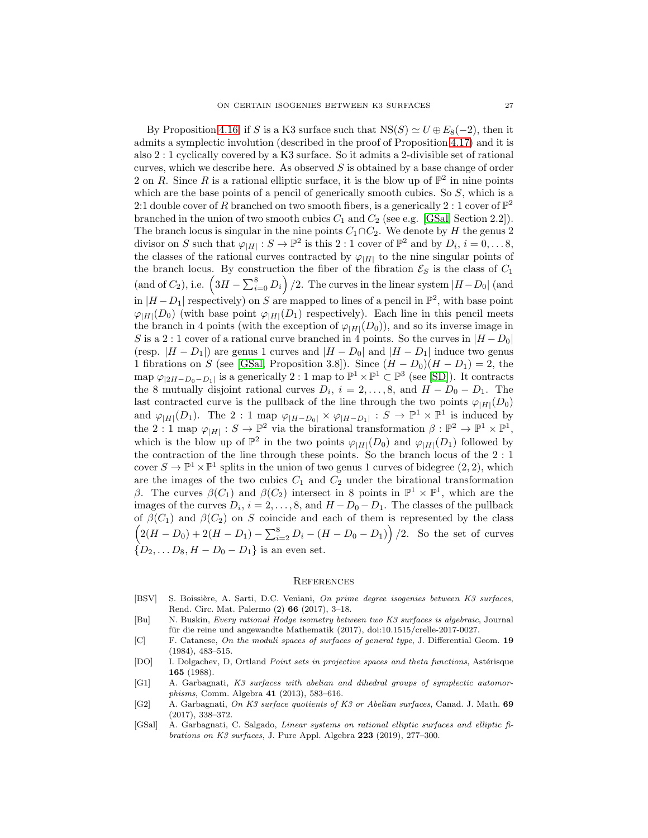By Proposition [4.16,](#page-24-0) if S is a K3 surface such that  $NS(S) \simeq U \oplus E_8(-2)$ , then it admits a symplectic involution (described in the proof of Proposition [4.17\)](#page-25-0) and it is also 2 : 1 cyclically covered by a K3 surface. So it admits a 2-divisible set of rational curves, which we describe here. As observed  $S$  is obtained by a base change of order 2 on R. Since R is a rational elliptic surface, it is the blow up of  $\mathbb{P}^2$  in nine points which are the base points of a pencil of generically smooth cubics. So  $S$ , which is a 2:1 double cover of R branched on two smooth fibers, is a generically 2 : 1 cover of  $\mathbb{P}^2$ branched in the union of two smooth cubics  $C_1$  and  $C_2$  (see e.g. [\[GSal,](#page-26-6) Section 2.2]). The branch locus is singular in the nine points  $C_1 \cap C_2$ . We denote by H the genus 2 divisor on S such that  $\varphi_{|H|}: S \to \mathbb{P}^2$  is this 2 : 1 cover of  $\mathbb{P}^2$  and by  $D_i$ ,  $i = 0, \ldots 8$ , the classes of the rational curves contracted by  $\varphi_{|H|}$  to the nine singular points of the branch locus. By construction the fiber of the fibration  $\mathcal{E}_S$  is the class of  $C_1$ (and of  $C_2$ ), i.e.  $\left(3H - \sum_{i=0}^{8} D_i\right)/2$ . The curves in the linear system  $|H-D_0|$  (and in  $|H - D_1|$  respectively) on S are mapped to lines of a pencil in  $\mathbb{P}^2$ , with base point  $\varphi_{|H|}(D_0)$  (with base point  $\varphi_{|H|}(D_1)$  respectively). Each line in this pencil meets the branch in 4 points (with the exception of  $\varphi_{|H|}(D_0)$ ), and so its inverse image in S is a 2 : 1 cover of a rational curve branched in 4 points. So the curves in  $|H - D_0|$ (resp.  $|H - D_1|$ ) are genus 1 curves and  $|H - D_0|$  and  $|H - D_1|$  induce two genus 1 fibrations on S (see [\[GSal,](#page-26-6) Proposition 3.8]). Since  $(H - D_0)(H - D_1) = 2$ , the map  $\varphi_{|2H-D_0-D_1|}$  is a generically  $2:1$  map to  $\mathbb{P}^1 \times \mathbb{P}^1 \subset \mathbb{P}^3$  (see [\[SD\]](#page-27-17)). It contracts the 8 mutually disjoint rational curves  $D_i$ ,  $i = 2, ..., 8$ , and  $H - D_0 - D_1$ . The last contracted curve is the pullback of the line through the two points  $\varphi_{|H|}(D_0)$ and  $\varphi_{|H|}(D_1)$ . The 2 : 1 map  $\varphi_{|H-D_0|} \times \varphi_{|H-D_1|} : S \to \mathbb{P}^1 \times \mathbb{P}^1$  is induced by the 2: 1 map  $\varphi_{|H|}: S \to \mathbb{P}^2$  via the birational transformation  $\beta: \mathbb{P}^2 \to \mathbb{P}^1 \times \mathbb{P}^1$ , which is the blow up of  $\mathbb{P}^2$  in the two points  $\varphi_{|H|}(D_0)$  and  $\varphi_{|H|}(D_1)$  followed by the contraction of the line through these points. So the branch locus of the 2 : 1 cover  $S \to \mathbb{P}^1 \times \mathbb{P}^1$  splits in the union of two genus 1 curves of bidegree  $(2, 2)$ , which are the images of the two cubics  $C_1$  and  $C_2$  under the birational transformation β. The curves  $β(C_1)$  and  $β(C_2)$  intersect in 8 points in  $\mathbb{P}^1 \times \mathbb{P}^1$ , which are the images of the curves  $D_i$ ,  $i = 2, \ldots, 8$ , and  $H - D_0 - D_1$ . The classes of the pullback of  $\beta(C_1)$  and  $\beta(C_2)$  on S coincide and each of them is represented by the class  $(2(H - D_0) + 2(H - D_1) - \sum_{i=2}^{8} D_i - (H - D_0 - D_1))$  /2. So the set of curves  ${D_2, \ldots D_8, H - D_0 - D_1}$  is an even set.

#### **REFERENCES**

- <span id="page-26-1"></span>[BSV] S. Boissière, A. Sarti, D.C. Veniani, On prime degree isogenies between K3 surfaces, Rend. Circ. Mat. Palermo (2) 66 (2017), 3–18.
- <span id="page-26-2"></span>[Bu] N. Buskin, Every rational Hodge isometry between two K3 surfaces is algebraic, Journal für die reine und angewandte Mathematik (2017), doi:10.1515/crelle-2017-0027.
- <span id="page-26-4"></span>[C] F. Catanese, On the moduli spaces of surfaces of general type, J. Differential Geom. 19 (1984), 483–515.
- <span id="page-26-5"></span>[DO] I. Dolgachev, D, Ortland Point sets in projective spaces and theta functions, Astérisque 165 (1988).
- <span id="page-26-3"></span>[G1] A. Garbagnati, K3 surfaces with abelian and dihedral groups of symplectic automorphisms, Comm. Algebra 41 (2013), 583–616.
- <span id="page-26-0"></span>[G2] A. Garbagnati, On K3 surface quotients of K3 or Abelian surfaces, Canad. J. Math. 69 (2017), 338–372.
- <span id="page-26-6"></span>[GSal] A. Garbagnati, C. Salgado, Linear systems on rational elliptic surfaces and elliptic fibrations on K3 surfaces, J. Pure Appl. Algebra 223 (2019), 277–300.